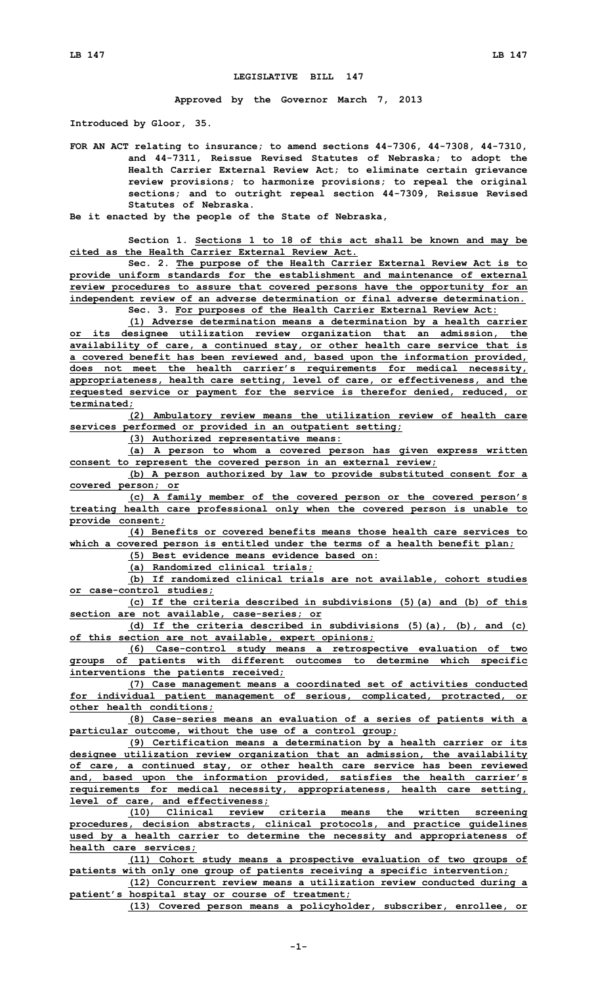## **LEGISLATIVE BILL 147**

**Approved by the Governor March 7, 2013**

**Introduced by Gloor, 35.**

**FOR AN ACT relating to insurance; to amend sections 44-7306, 44-7308, 44-7310, and 44-7311, Reissue Revised Statutes of Nebraska; to adopt the Health Carrier External Review Act; to eliminate certain grievance review provisions; to harmonize provisions; to repeal the original sections; and to outright repeal section 44-7309, Reissue Revised Statutes of Nebraska.**

**Be it enacted by the people of the State of Nebraska,**

**Section 1. Sections 1 to 18 of this act shall be known and may be cited as the Health Carrier External Review Act.**

**Sec. 2. The purpose of the Health Carrier External Review Act is to provide uniform standards for the establishment and maintenance of external review procedures to assure that covered persons have the opportunity for an independent review of an adverse determination or final adverse determination. Sec. 3. For purposes of the Health Carrier External Review Act:**

**(1) Adverse determination means <sup>a</sup> determination by <sup>a</sup> health carrier**

**or its designee utilization review organization that an admission, the availability of care, <sup>a</sup> continued stay, or other health care service that is <sup>a</sup> covered benefit has been reviewed and, based upon the information provided, does not meet the health carrier's requirements for medical necessity, appropriateness, health care setting, level of care, or effectiveness, and the requested service or payment for the service is therefor denied, reduced, or terminated;**

**(2) Ambulatory review means the utilization review of health care services performed or provided in an outpatient setting;**

**(3) Authorized representative means:**

**(a) <sup>A</sup> person to whom <sup>a</sup> covered person has given express written consent to represent the covered person in an external review;**

**(b) <sup>A</sup> person authorized by law to provide substituted consent for <sup>a</sup> covered person; or**

**(c) <sup>A</sup> family member of the covered person or the covered person's treating health care professional only when the covered person is unable to provide consent;**

**(4) Benefits or covered benefits means those health care services to which <sup>a</sup> covered person is entitled under the terms of <sup>a</sup> health benefit plan;**

**(5) Best evidence means evidence based on:**

**(a) Randomized clinical trials;**

**(b) If randomized clinical trials are not available, cohort studies or case-control studies;**

**(c) If the criteria described in subdivisions (5)(a) and (b) of this section are not available, case-series; or**

**(d) If the criteria described in subdivisions (5)(a), (b), and (c) of this section are not available, expert opinions;**

**(6) Case-control study means <sup>a</sup> retrospective evaluation of two groups of patients with different outcomes to determine which specific interventions the patients received;**

**(7) Case management means <sup>a</sup> coordinated set of activities conducted for individual patient management of serious, complicated, protracted, or other health conditions;**

**(8) Case-series means an evaluation of <sup>a</sup> series of patients with <sup>a</sup> particular outcome, without the use of <sup>a</sup> control group;**

**(9) Certification means <sup>a</sup> determination by <sup>a</sup> health carrier or its designee utilization review organization that an admission, the availability of care, <sup>a</sup> continued stay, or other health care service has been reviewed and, based upon the information provided, satisfies the health carrier's requirements for medical necessity, appropriateness, health care setting, level of care, and effectiveness;**

**(10) Clinical review criteria means the written screening procedures, decision abstracts, clinical protocols, and practice guidelines used by <sup>a</sup> health carrier to determine the necessity and appropriateness of health care services;**

**(11) Cohort study means <sup>a</sup> prospective evaluation of two groups of patients with only one group of patients receiving <sup>a</sup> specific intervention;**

**(12) Concurrent review means <sup>a</sup> utilization review conducted during <sup>a</sup> patient's hospital stay or course of treatment;**

**(13) Covered person means <sup>a</sup> policyholder, subscriber, enrollee, or**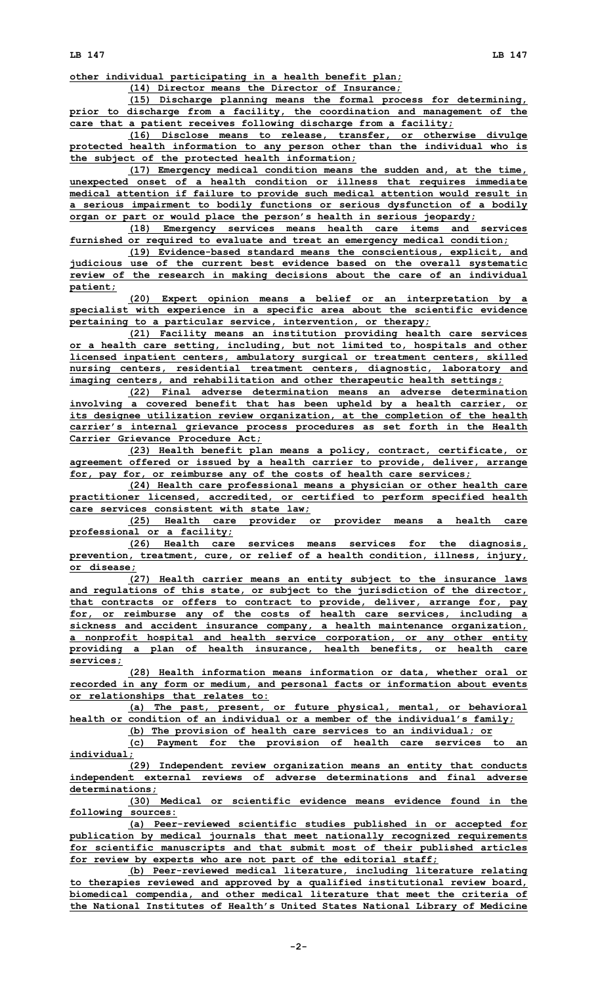**other individual participating in <sup>a</sup> health benefit plan;**

**(14) Director means the Director of Insurance;**

**(15) Discharge planning means the formal process for determining, prior to discharge from <sup>a</sup> facility, the coordination and management of the care that <sup>a</sup> patient receives following discharge from <sup>a</sup> facility;**

**(16) Disclose means to release, transfer, or otherwise divulge protected health information to any person other than the individual who is the subject of the protected health information;**

**(17) Emergency medical condition means the sudden and, at the time, unexpected onset of <sup>a</sup> health condition or illness that requires immediate medical attention if failure to provide such medical attention would result in <sup>a</sup> serious impairment to bodily functions or serious dysfunction of <sup>a</sup> bodily organ or part or would place the person's health in serious jeopardy;**

**(18) Emergency services means health care items and services furnished or required to evaluate and treat an emergency medical condition;**

**(19) Evidence-based standard means the conscientious, explicit, and judicious use of the current best evidence based on the overall systematic review of the research in making decisions about the care of an individual patient;**

**(20) Expert opinion means <sup>a</sup> belief or an interpretation by <sup>a</sup> specialist with experience in <sup>a</sup> specific area about the scientific evidence pertaining to <sup>a</sup> particular service, intervention, or therapy;**

**(21) Facility means an institution providing health care services or <sup>a</sup> health care setting, including, but not limited to, hospitals and other licensed inpatient centers, ambulatory surgical or treatment centers, skilled nursing centers, residential treatment centers, diagnostic, laboratory and imaging centers, and rehabilitation and other therapeutic health settings;**

**(22) Final adverse determination means an adverse determination involving <sup>a</sup> covered benefit that has been upheld by <sup>a</sup> health carrier, or its designee utilization review organization, at the completion of the health carrier's internal grievance process procedures as set forth in the Health Carrier Grievance Procedure Act;**

**(23) Health benefit plan means <sup>a</sup> policy, contract, certificate, or agreement offered or issued by <sup>a</sup> health carrier to provide, deliver, arrange for, pay for, or reimburse any of the costs of health care services;**

**(24) Health care professional means <sup>a</sup> physician or other health care practitioner licensed, accredited, or certified to perform specified health care services consistent with state law;**

**(25) Health care provider or provider means <sup>a</sup> health care professional or <sup>a</sup> facility;**

**(26) Health care services means services for the diagnosis, prevention, treatment, cure, or relief of <sup>a</sup> health condition, illness, injury, or disease;**

**(27) Health carrier means an entity subject to the insurance laws and regulations of this state, or subject to the jurisdiction of the director, that contracts or offers to contract to provide, deliver, arrange for, pay for, or reimburse any of the costs of health care services, including <sup>a</sup> sickness and accident insurance company, <sup>a</sup> health maintenance organization, <sup>a</sup> nonprofit hospital and health service corporation, or any other entity providing <sup>a</sup> plan of health insurance, health benefits, or health care services;**

**(28) Health information means information or data, whether oral or recorded in any form or medium, and personal facts or information about events or relationships that relates to:**

**(a) The past, present, or future physical, mental, or behavioral health or condition of an individual or <sup>a</sup> member of the individual's family; (b) The provision of health care services to an individual; or**

**(c) Payment for the provision of health care services to an individual;**

**(29) Independent review organization means an entity that conducts independent external reviews of adverse determinations and final adverse determinations;**

**(30) Medical or scientific evidence means evidence found in the following sources:**

**(a) Peer-reviewed scientific studies published in or accepted for publication by medical journals that meet nationally recognized requirements for scientific manuscripts and that submit most of their published articles for review by experts who are not part of the editorial staff;**

**(b) Peer-reviewed medical literature, including literature relating to therapies reviewed and approved by <sup>a</sup> qualified institutional review board, biomedical compendia, and other medical literature that meet the criteria of the National Institutes of Health's United States National Library of Medicine**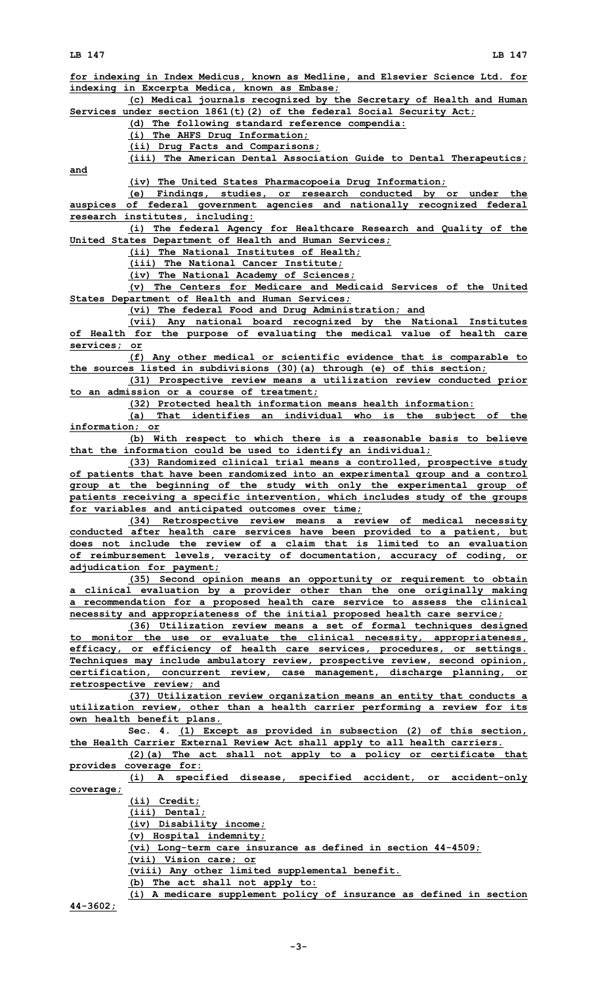**for indexing in Index Medicus, known as Medline, and Elsevier Science Ltd. for indexing in Excerpta Medica, known as Embase; (c) Medical journals recognized by the Secretary of Health and Human Services under section 1861(t)(2) of the federal Social Security Act; (d) The following standard reference compendia: (i) The AHFS Drug Information; (ii) Drug Facts and Comparisons; (iii) The American Dental Association Guide to Dental Therapeutics; and (iv) The United States Pharmacopoeia Drug Information; (e) Findings, studies, or research conducted by or under the auspices of federal government agencies and nationally recognized federal research institutes, including: (i) The federal Agency for Healthcare Research and Quality of the United States Department of Health and Human Services; (ii) The National Institutes of Health; (iii) The National Cancer Institute; (iv) The National Academy of Sciences; (v) The Centers for Medicare and Medicaid Services of the United States Department of Health and Human Services; (vi) The federal Food and Drug Administration; and (vii) Any national board recognized by the National Institutes of Health for the purpose of evaluating the medical value of health care services; or (f) Any other medical or scientific evidence that is comparable to the sources listed in subdivisions (30)(a) through (e) of this section; (31) Prospective review means <sup>a</sup> utilization review conducted prior to an admission or <sup>a</sup> course of treatment; (32) Protected health information means health information: (a) That identifies an individual who is the subject of the information; or (b) With respect to which there is <sup>a</sup> reasonable basis to believe that the information could be used to identify an individual; (33) Randomized clinical trial means <sup>a</sup> controlled, prospective study of patients that have been randomized into an experimental group and <sup>a</sup> control group at the beginning of the study with only the experimental group of patients receiving <sup>a</sup> specific intervention, which includes study of the groups for variables and anticipated outcomes over time; (34) Retrospective review means <sup>a</sup> review of medical necessity conducted after health care services have been provided to <sup>a</sup> patient, but does not include the review of a claim that is limited to an evaluation of reimbursement levels, veracity of documentation, accuracy of coding, or adjudication for payment; (35) Second opinion means an opportunity or requirement to obtain <sup>a</sup> clinical evaluation by <sup>a</sup> provider other than the one originally making <sup>a</sup> recommendation for <sup>a</sup> proposed health care service to assess the clinical necessity and appropriateness of the initial proposed health care service; (36) Utilization review means <sup>a</sup> set of formal techniques designed to monitor the use or evaluate the clinical necessity, appropriateness, efficacy, or efficiency of health care services, procedures, or settings. Techniques may include ambulatory review, prospective review, second opinion, certification, concurrent review, case management, discharge planning, or retrospective review; and (37) Utilization review organization means an entity that conducts <sup>a</sup> utilization review, other than <sup>a</sup> health carrier performing <sup>a</sup> review for its own health benefit plans. Sec. 4. (1) Except as provided in subsection (2) of this section, the Health Carrier External Review Act shall apply to all health carriers. (2)(a) The act shall not apply to <sup>a</sup> policy or certificate that provides coverage for: (i) <sup>A</sup> specified disease, specified accident, or accident-only coverage; (ii) Credit; (iii) Dental; (iv) Disability income; (v) Hospital indemnity; (vi) Long-term care insurance as defined in section 44-4509; (vii) Vision care; or (viii) Any other limited supplemental benefit. (b) The act shall not apply to: (i) <sup>A</sup> medicare supplement policy of insurance as defined in section**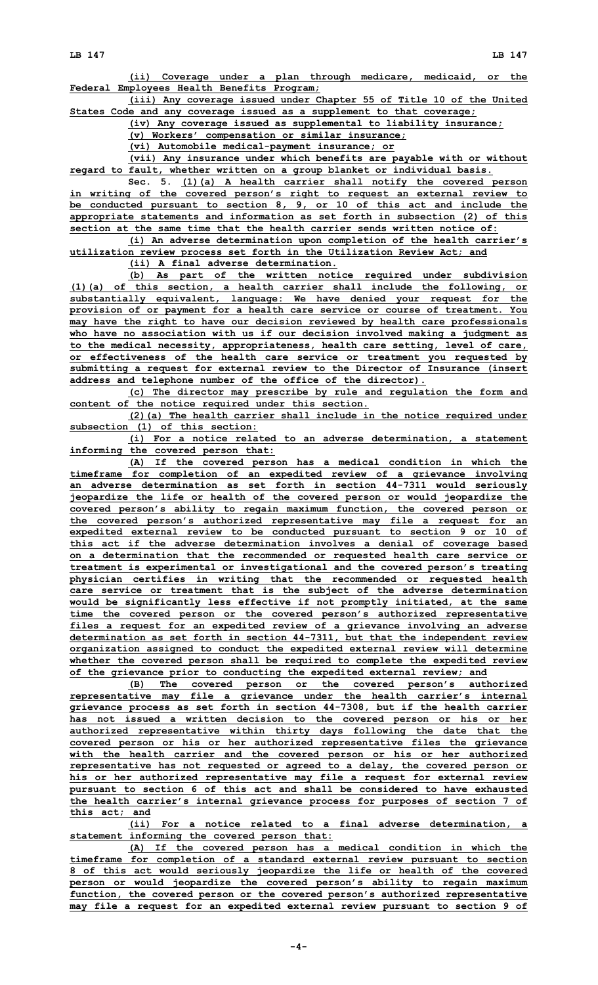**(ii) Coverage under <sup>a</sup> plan through medicare, medicaid, or the Federal Employees Health Benefits Program;**

**(iii) Any coverage issued under Chapter 55 of Title 10 of the United States Code and any coverage issued as <sup>a</sup> supplement to that coverage;**

**(iv) Any coverage issued as supplemental to liability insurance;**

**(v) Workers' compensation or similar insurance;**

**(vi) Automobile medical-payment insurance; or**

**(vii) Any insurance under which benefits are payable with or without regard to fault, whether written on <sup>a</sup> group blanket or individual basis.**

**Sec. 5. (1)(a) <sup>A</sup> health carrier shall notify the covered person in writing of the covered person's right to request an external review to be conducted pursuant to section 8, 9, or 10 of this act and include the appropriate statements and information as set forth in subsection (2) of this section at the same time that the health carrier sends written notice of:**

**(i) An adverse determination upon completion of the health carrier's utilization review process set forth in the Utilization Review Act; and**

**(ii) A final adverse determination.**

**(b) As part of the written notice required under subdivision (1)(a) of this section, <sup>a</sup> health carrier shall include the following, or substantially equivalent, language: We have denied your request for the provision of or payment for <sup>a</sup> health care service or course of treatment. You may have the right to have our decision reviewed by health care professionals who have no association with us if our decision involved making <sup>a</sup> judgment as to the medical necessity, appropriateness, health care setting, level of care, or effectiveness of the health care service or treatment you requested by submitting <sup>a</sup> request for external review to the Director of Insurance (insert address and telephone number of the office of the director).**

**(c) The director may prescribe by rule and regulation the form and content of the notice required under this section.**

**(2)(a) The health carrier shall include in the notice required under subsection (1) of this section:**

**(i) For <sup>a</sup> notice related to an adverse determination, <sup>a</sup> statement informing the covered person that:**

**(A) If the covered person has <sup>a</sup> medical condition in which the timeframe for completion of an expedited review of <sup>a</sup> grievance involving an adverse determination as set forth in section 44-7311 would seriously jeopardize the life or health of the covered person or would jeopardize the covered person's ability to regain maximum function, the covered person or the covered person's authorized representative may file <sup>a</sup> request for an expedited external review to be conducted pursuant to section 9 or 10 of this act if the adverse determination involves <sup>a</sup> denial of coverage based on <sup>a</sup> determination that the recommended or requested health care service or treatment is experimental or investigational and the covered person's treating physician certifies in writing that the recommended or requested health care service or treatment that is the subject of the adverse determination would be significantly less effective if not promptly initiated, at the same time the covered person or the covered person's authorized representative files <sup>a</sup> request for an expedited review of <sup>a</sup> grievance involving an adverse determination as set forth in section 44-7311, but that the independent review organization assigned to conduct the expedited external review will determine whether the covered person shall be required to complete the expedited review of the grievance prior to conducting the expedited external review; and**

**(B) The covered person or the covered person's authorized representative may file <sup>a</sup> grievance under the health carrier's internal grievance process as set forth in section 44-7308, but if the health carrier has not issued <sup>a</sup> written decision to the covered person or his or her authorized representative within thirty days following the date that the covered person or his or her authorized representative files the grievance with the health carrier and the covered person or his or her authorized representative has not requested or agreed to <sup>a</sup> delay, the covered person or his or her authorized representative may file <sup>a</sup> request for external review pursuant to section 6 of this act and shall be considered to have exhausted the health carrier's internal grievance process for purposes of section 7 of this act; and**

**(ii) For <sup>a</sup> notice related to <sup>a</sup> final adverse determination, <sup>a</sup> statement informing the covered person that:**

**(A) If the covered person has <sup>a</sup> medical condition in which the timeframe for completion of <sup>a</sup> standard external review pursuant to section 8 of this act would seriously jeopardize the life or health of the covered person or would jeopardize the covered person's ability to regain maximum function, the covered person or the covered person's authorized representative may file <sup>a</sup> request for an expedited external review pursuant to section 9 of**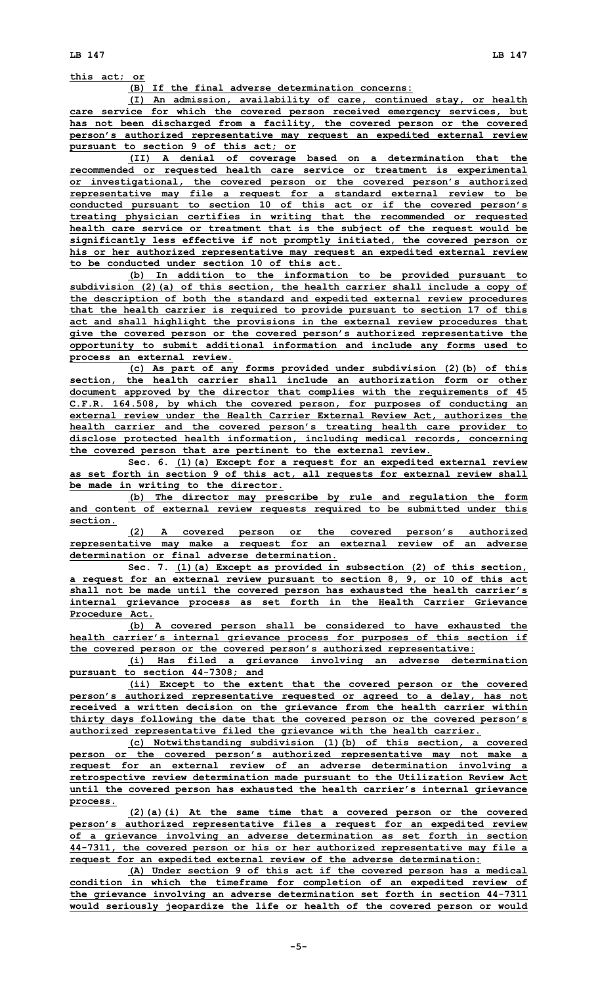**this act; or**

**(B) If the final adverse determination concerns:**

**(I) An admission, availability of care, continued stay, or health care service for which the covered person received emergency services, but has not been discharged from <sup>a</sup> facility, the covered person or the covered person's authorized representative may request an expedited external review pursuant to section 9 of this act; or**

**(II) <sup>A</sup> denial of coverage based on <sup>a</sup> determination that the recommended or requested health care service or treatment is experimental or investigational, the covered person or the covered person's authorized representative may file <sup>a</sup> request for <sup>a</sup> standard external review to be conducted pursuant to section 10 of this act or if the covered person's treating physician certifies in writing that the recommended or requested health care service or treatment that is the subject of the request would be significantly less effective if not promptly initiated, the covered person or his or her authorized representative may request an expedited external review to be conducted under section 10 of this act.**

**(b) In addition to the information to be provided pursuant to subdivision (2)(a) of this section, the health carrier shall include <sup>a</sup> copy of the description of both the standard and expedited external review procedures that the health carrier is required to provide pursuant to section 17 of this act and shall highlight the provisions in the external review procedures that give the covered person or the covered person's authorized representative the opportunity to submit additional information and include any forms used to process an external review.**

**(c) As part of any forms provided under subdivision (2)(b) of this section, the health carrier shall include an authorization form or other document approved by the director that complies with the requirements of 45 C.F.R. 164.508, by which the covered person, for purposes of conducting an external review under the Health Carrier External Review Act, authorizes the health carrier and the covered person's treating health care provider to disclose protected health information, including medical records, concerning the covered person that are pertinent to the external review.**

**Sec. 6. (1)(a) Except for <sup>a</sup> request for an expedited external review as set forth in section 9 of this act, all requests for external review shall be made in writing to the director.**

**(b) The director may prescribe by rule and regulation the form and content of external review requests required to be submitted under this section.**

**(2) <sup>A</sup> covered person or the covered person's authorized representative may make <sup>a</sup> request for an external review of an adverse determination or final adverse determination.**

**Sec. 7. (1)(a) Except as provided in subsection (2) of this section, <sup>a</sup> request for an external review pursuant to section 8, 9, or 10 of this act shall not be made until the covered person has exhausted the health carrier's internal grievance process as set forth in the Health Carrier Grievance Procedure Act.**

**(b) <sup>A</sup> covered person shall be considered to have exhausted the health carrier's internal grievance process for purposes of this section if the covered person or the covered person's authorized representative:**

**(i) Has filed <sup>a</sup> grievance involving an adverse determination pursuant to section 44-7308; and**

**(ii) Except to the extent that the covered person or the covered person's authorized representative requested or agreed to <sup>a</sup> delay, has not received <sup>a</sup> written decision on the grievance from the health carrier within thirty days following the date that the covered person or the covered person's authorized representative filed the grievance with the health carrier.**

**(c) Notwithstanding subdivision (1)(b) of this section, <sup>a</sup> covered person or the covered person's authorized representative may not make <sup>a</sup> request for an external review of an adverse determination involving <sup>a</sup> retrospective review determination made pursuant to the Utilization Review Act until the covered person has exhausted the health carrier's internal grievance process.**

**(2)(a)(i) At the same time that <sup>a</sup> covered person or the covered person's authorized representative files <sup>a</sup> request for an expedited review of <sup>a</sup> grievance involving an adverse determination as set forth in section 44-7311, the covered person or his or her authorized representative may file <sup>a</sup> request for an expedited external review of the adverse determination:**

**(A) Under section 9 of this act if the covered person has <sup>a</sup> medical condition in which the timeframe for completion of an expedited review of the grievance involving an adverse determination set forth in section 44-7311 would seriously jeopardize the life or health of the covered person or would**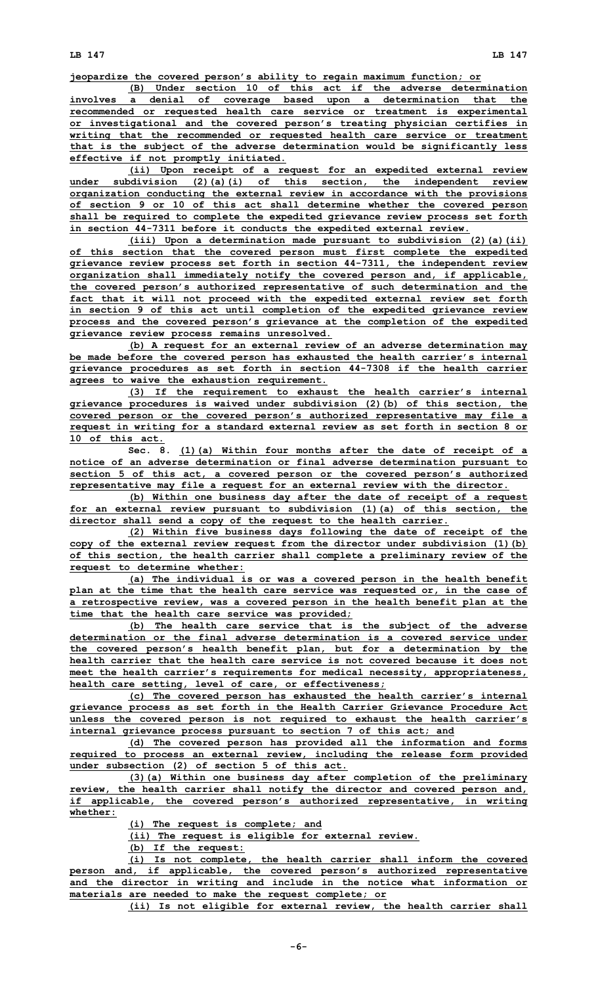**jeopardize the covered person's ability to regain maximum function; or**

**(B) Under section 10 of this act if the adverse determination involves <sup>a</sup> denial of coverage based upon <sup>a</sup> determination that the recommended or requested health care service or treatment is experimental or investigational and the covered person's treating physician certifies in writing that the recommended or requested health care service or treatment that is the subject of the adverse determination would be significantly less effective if not promptly initiated.**

**(ii) Upon receipt of <sup>a</sup> request for an expedited external review under subdivision (2)(a)(i) of this section, the independent review organization conducting the external review in accordance with the provisions of section 9 or 10 of this act shall determine whether the covered person shall be required to complete the expedited grievance review process set forth in section 44-7311 before it conducts the expedited external review.**

**(iii) Upon <sup>a</sup> determination made pursuant to subdivision (2)(a)(ii) of this section that the covered person must first complete the expedited grievance review process set forth in section 44-7311, the independent review organization shall immediately notify the covered person and, if applicable, the covered person's authorized representative of such determination and the fact that it will not proceed with the expedited external review set forth in section 9 of this act until completion of the expedited grievance review process and the covered person's grievance at the completion of the expedited grievance review process remains unresolved.**

**(b) <sup>A</sup> request for an external review of an adverse determination may be made before the covered person has exhausted the health carrier's internal grievance procedures as set forth in section 44-7308 if the health carrier agrees to waive the exhaustion requirement.**

**(3) If the requirement to exhaust the health carrier's internal grievance procedures is waived under subdivision (2)(b) of this section, the covered person or the covered person's authorized representative may file <sup>a</sup> request in writing for <sup>a</sup> standard external review as set forth in section 8 or 10 of this act.**

**Sec. 8. (1)(a) Within four months after the date of receipt of <sup>a</sup> notice of an adverse determination or final adverse determination pursuant to section 5 of this act, <sup>a</sup> covered person or the covered person's authorized representative may file <sup>a</sup> request for an external review with the director.**

**(b) Within one business day after the date of receipt of <sup>a</sup> request for an external review pursuant to subdivision (1)(a) of this section, the director shall send <sup>a</sup> copy of the request to the health carrier.**

**(2) Within five business days following the date of receipt of the copy of the external review request from the director under subdivision (1)(b) of this section, the health carrier shall complete <sup>a</sup> preliminary review of the request to determine whether:**

**(a) The individual is or was <sup>a</sup> covered person in the health benefit plan at the time that the health care service was requested or, in the case of <sup>a</sup> retrospective review, was <sup>a</sup> covered person in the health benefit plan at the time that the health care service was provided;**

**(b) The health care service that is the subject of the adverse determination or the final adverse determination is a covered service under the covered person's health benefit plan, but for <sup>a</sup> determination by the health carrier that the health care service is not covered because it does not meet the health carrier's requirements for medical necessity, appropriateness, health care setting, level of care, or effectiveness;**

**(c) The covered person has exhausted the health carrier's internal grievance process as set forth in the Health Carrier Grievance Procedure Act unless the covered person is not required to exhaust the health carrier's internal grievance process pursuant to section 7 of this act; and**

**(d) The covered person has provided all the information and forms required to process an external review, including the release form provided under subsection (2) of section 5 of this act.**

**(3)(a) Within one business day after completion of the preliminary review, the health carrier shall notify the director and covered person and, if applicable, the covered person's authorized representative, in writing whether:**

**(i) The request is complete; and**

**(ii) The request is eligible for external review.**

**(b) If the request:**

**(i) Is not complete, the health carrier shall inform the covered person and, if applicable, the covered person's authorized representative and the director in writing and include in the notice what information or materials are needed to make the request complete; or**

**(ii) Is not eligible for external review, the health carrier shall**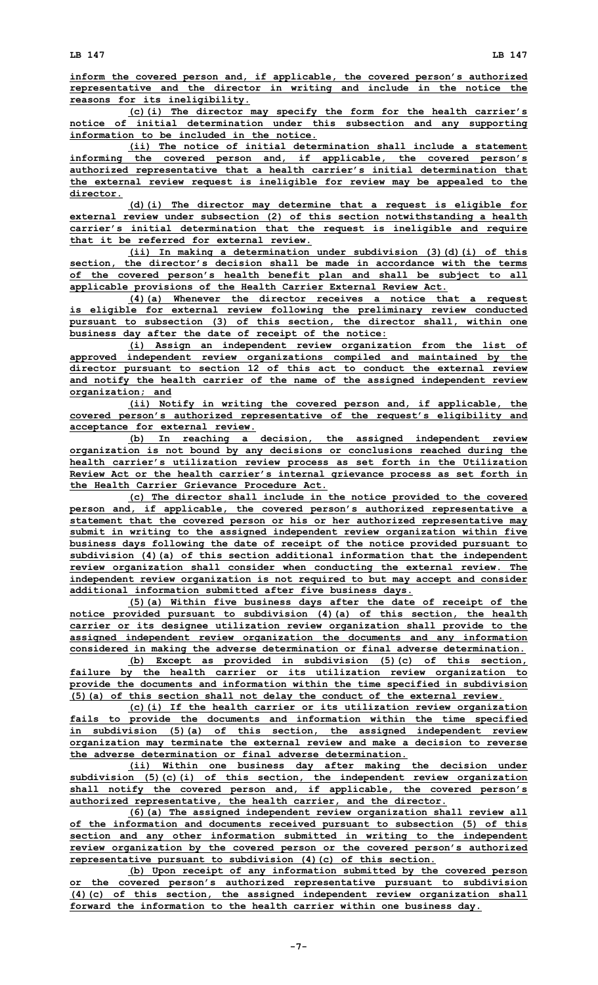**inform the covered person and, if applicable, the covered person's authorized representative and the director in writing and include in the notice the reasons for its ineligibility.**

**(c)(i) The director may specify the form for the health carrier's notice of initial determination under this subsection and any supporting information to be included in the notice.**

**(ii) The notice of initial determination shall include <sup>a</sup> statement informing the covered person and, if applicable, the covered person's authorized representative that <sup>a</sup> health carrier's initial determination that the external review request is ineligible for review may be appealed to the director.**

**(d)(i) The director may determine that <sup>a</sup> request is eligible for external review under subsection (2) of this section notwithstanding <sup>a</sup> health carrier's initial determination that the request is ineligible and require that it be referred for external review.**

**(ii) In making <sup>a</sup> determination under subdivision (3)(d)(i) of this section, the director's decision shall be made in accordance with the terms of the covered person's health benefit plan and shall be subject to all applicable provisions of the Health Carrier External Review Act.**

**(4)(a) Whenever the director receives <sup>a</sup> notice that <sup>a</sup> request is eligible for external review following the preliminary review conducted pursuant to subsection (3) of this section, the director shall, within one business day after the date of receipt of the notice:**

**(i) Assign an independent review organization from the list of approved independent review organizations compiled and maintained by the director pursuant to section 12 of this act to conduct the external review and notify the health carrier of the name of the assigned independent review organization; and**

**(ii) Notify in writing the covered person and, if applicable, the covered person's authorized representative of the request's eligibility and acceptance for external review.**

**(b) In reaching <sup>a</sup> decision, the assigned independent review organization is not bound by any decisions or conclusions reached during the health carrier's utilization review process as set forth in the Utilization Review Act or the health carrier's internal grievance process as set forth in the Health Carrier Grievance Procedure Act.**

**(c) The director shall include in the notice provided to the covered person and, if applicable, the covered person's authorized representative <sup>a</sup> statement that the covered person or his or her authorized representative may submit in writing to the assigned independent review organization within five business days following the date of receipt of the notice provided pursuant to subdivision (4)(a) of this section additional information that the independent review organization shall consider when conducting the external review. The independent review organization is not required to but may accept and consider additional information submitted after five business days.**

**(5)(a) Within five business days after the date of receipt of the notice provided pursuant to subdivision (4)(a) of this section, the health carrier or its designee utilization review organization shall provide to the assigned independent review organization the documents and any information considered in making the adverse determination or final adverse determination.**

**(b) Except as provided in subdivision (5)(c) of this section, failure by the health carrier or its utilization review organization to provide the documents and information within the time specified in subdivision (5)(a) of this section shall not delay the conduct of the external review.**

**(c)(i) If the health carrier or its utilization review organization fails to provide the documents and information within the time specified in subdivision (5)(a) of this section, the assigned independent review organization may terminate the external review and make <sup>a</sup> decision to reverse the adverse determination or final adverse determination.**

**(ii) Within one business day after making the decision under subdivision (5)(c)(i) of this section, the independent review organization shall notify the covered person and, if applicable, the covered person's authorized representative, the health carrier, and the director.**

**(6)(a) The assigned independent review organization shall review all of the information and documents received pursuant to subsection (5) of this section and any other information submitted in writing to the independent review organization by the covered person or the covered person's authorized representative pursuant to subdivision (4)(c) of this section.**

**(b) Upon receipt of any information submitted by the covered person or the covered person's authorized representative pursuant to subdivision (4)(c) of this section, the assigned independent review organization shall forward the information to the health carrier within one business day.**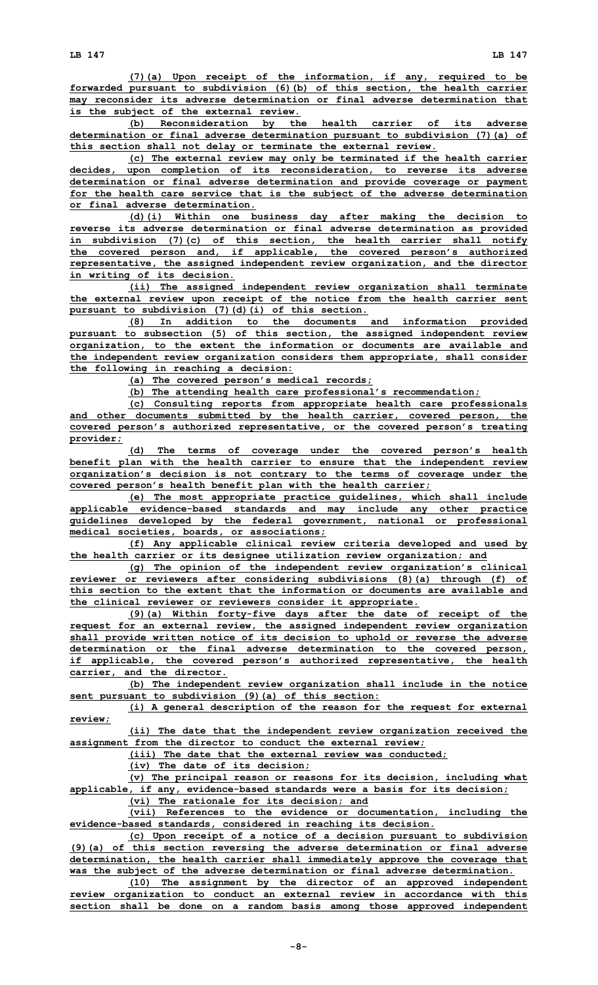**(7)(a) Upon receipt of the information, if any, required to be forwarded pursuant to subdivision (6)(b) of this section, the health carrier may reconsider its adverse determination or final adverse determination that is the subject of the external review.**

**(b) Reconsideration by the health carrier of its adverse determination or final adverse determination pursuant to subdivision (7)(a) of this section shall not delay or terminate the external review.**

**(c) The external review may only be terminated if the health carrier decides, upon completion of its reconsideration, to reverse its adverse determination or final adverse determination and provide coverage or payment for the health care service that is the subject of the adverse determination or final adverse determination.**

**(d)(i) Within one business day after making the decision to reverse its adverse determination or final adverse determination as provided in subdivision (7)(c) of this section, the health carrier shall notify the covered person and, if applicable, the covered person's authorized representative, the assigned independent review organization, and the director in writing of its decision.**

**(ii) The assigned independent review organization shall terminate the external review upon receipt of the notice from the health carrier sent pursuant to subdivision (7)(d)(i) of this section.**

**(8) In addition to the documents and information provided pursuant to subsection (5) of this section, the assigned independent review organization, to the extent the information or documents are available and the independent review organization considers them appropriate, shall consider the following in reaching <sup>a</sup> decision:**

**(a) The covered person's medical records;**

**(b) The attending health care professional's recommendation;**

**(c) Consulting reports from appropriate health care professionals and other documents submitted by the health carrier, covered person, the covered person's authorized representative, or the covered person's treating provider;**

**(d) The terms of coverage under the covered person's health benefit plan with the health carrier to ensure that the independent review organization's decision is not contrary to the terms of coverage under the covered person's health benefit plan with the health carrier;**

**(e) The most appropriate practice guidelines, which shall include applicable evidence-based standards and may include any other practice guidelines developed by the federal government, national or professional medical societies, boards, or associations;**

**(f) Any applicable clinical review criteria developed and used by the health carrier or its designee utilization review organization; and**

**(g) The opinion of the independent review organization's clinical reviewer or reviewers after considering subdivisions (8)(a) through (f) of this section to the extent that the information or documents are available and the clinical reviewer or reviewers consider it appropriate.**

**(9)(a) Within forty-five days after the date of receipt of the request for an external review, the assigned independent review organization shall provide written notice of its decision to uphold or reverse the adverse determination or the final adverse determination to the covered person, if applicable, the covered person's authorized representative, the health carrier, and the director.**

**(b) The independent review organization shall include in the notice sent pursuant to subdivision (9)(a) of this section:**

**(i) <sup>A</sup> general description of the reason for the request for external review;**

**(ii) The date that the independent review organization received the assignment from the director to conduct the external review;**

**(iii) The date that the external review was conducted;**

**(iv) The date of its decision;**

**(v) The principal reason or reasons for its decision, including what applicable, if any, evidence-based standards were <sup>a</sup> basis for its decision; (vi) The rationale for its decision; and**

**(vii) References to the evidence or documentation, including the evidence-based standards, considered in reaching its decision.**

**(c) Upon receipt of <sup>a</sup> notice of <sup>a</sup> decision pursuant to subdivision (9)(a) of this section reversing the adverse determination or final adverse determination, the health carrier shall immediately approve the coverage that was the subject of the adverse determination or final adverse determination.**

**(10) The assignment by the director of an approved independent review organization to conduct an external review in accordance with this section shall be done on <sup>a</sup> random basis among those approved independent**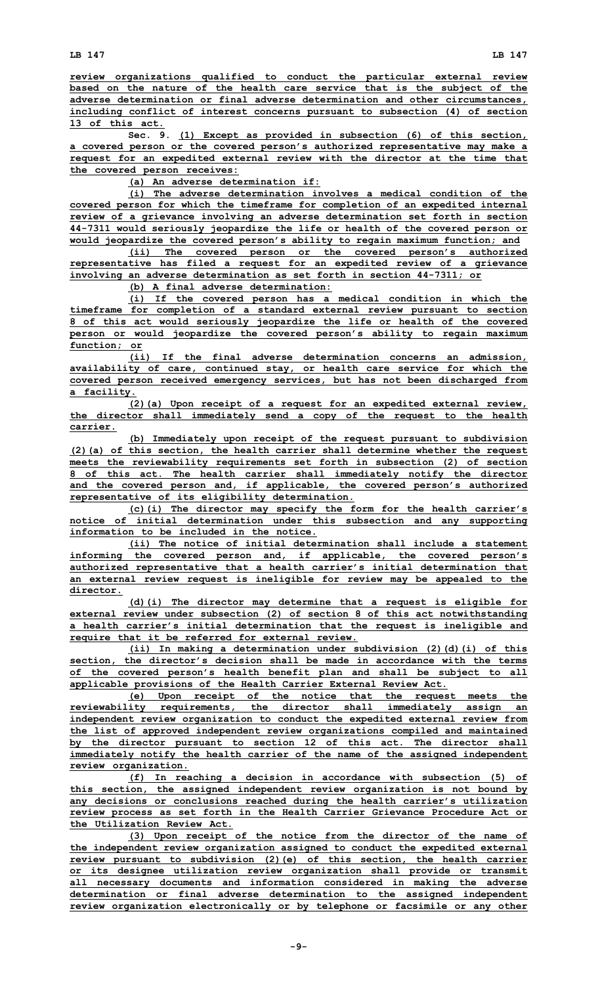**review organizations qualified to conduct the particular external review based on the nature of the health care service that is the subject of the adverse determination or final adverse determination and other circumstances, including conflict of interest concerns pursuant to subsection (4) of section 13 of this act.**

**Sec. 9. (1) Except as provided in subsection (6) of this section, <sup>a</sup> covered person or the covered person's authorized representative may make <sup>a</sup> request for an expedited external review with the director at the time that the covered person receives:**

**(a) An adverse determination if:**

**(i) The adverse determination involves <sup>a</sup> medical condition of the covered person for which the timeframe for completion of an expedited internal review of <sup>a</sup> grievance involving an adverse determination set forth in section 44-7311 would seriously jeopardize the life or health of the covered person or would jeopardize the covered person's ability to regain maximum function; and**

**(ii) The covered person or the covered person's authorized representative has filed <sup>a</sup> request for an expedited review of <sup>a</sup> grievance involving an adverse determination as set forth in section 44-7311; or**

**(b) A final adverse determination:**

**(i) If the covered person has <sup>a</sup> medical condition in which the timeframe for completion of <sup>a</sup> standard external review pursuant to section 8 of this act would seriously jeopardize the life or health of the covered person or would jeopardize the covered person's ability to regain maximum function; or**

**(ii) If the final adverse determination concerns an admission, availability of care, continued stay, or health care service for which the covered person received emergency services, but has not been discharged from <sup>a</sup> facility.**

**(2)(a) Upon receipt of <sup>a</sup> request for an expedited external review, the director shall immediately send <sup>a</sup> copy of the request to the health carrier.**

**(b) Immediately upon receipt of the request pursuant to subdivision (2)(a) of this section, the health carrier shall determine whether the request meets the reviewability requirements set forth in subsection (2) of section 8 of this act. The health carrier shall immediately notify the director and the covered person and, if applicable, the covered person's authorized representative of its eligibility determination.**

**(c)(i) The director may specify the form for the health carrier's notice of initial determination under this subsection and any supporting information to be included in the notice.**

**(ii) The notice of initial determination shall include <sup>a</sup> statement informing the covered person and, if applicable, the covered person's authorized representative that <sup>a</sup> health carrier's initial determination that an external review request is ineligible for review may be appealed to the director.**

**(d)(i) The director may determine that <sup>a</sup> request is eligible for external review under subsection (2) of section 8 of this act notwithstanding <sup>a</sup> health carrier's initial determination that the request is ineligible and require that it be referred for external review.**

**(ii) In making <sup>a</sup> determination under subdivision (2)(d)(i) of this section, the director's decision shall be made in accordance with the terms of the covered person's health benefit plan and shall be subject to all applicable provisions of the Health Carrier External Review Act.**

**(e) Upon receipt of the notice that the request meets the reviewability requirements, the director shall immediately assign an independent review organization to conduct the expedited external review from the list of approved independent review organizations compiled and maintained by the director pursuant to section 12 of this act. The director shall immediately notify the health carrier of the name of the assigned independent review organization.**

**(f) In reaching <sup>a</sup> decision in accordance with subsection (5) of this section, the assigned independent review organization is not bound by any decisions or conclusions reached during the health carrier's utilization review process as set forth in the Health Carrier Grievance Procedure Act or the Utilization Review Act.**

**(3) Upon receipt of the notice from the director of the name of the independent review organization assigned to conduct the expedited external review pursuant to subdivision (2)(e) of this section, the health carrier or its designee utilization review organization shall provide or transmit all necessary documents and information considered in making the adverse determination or final adverse determination to the assigned independent review organization electronically or by telephone or facsimile or any other**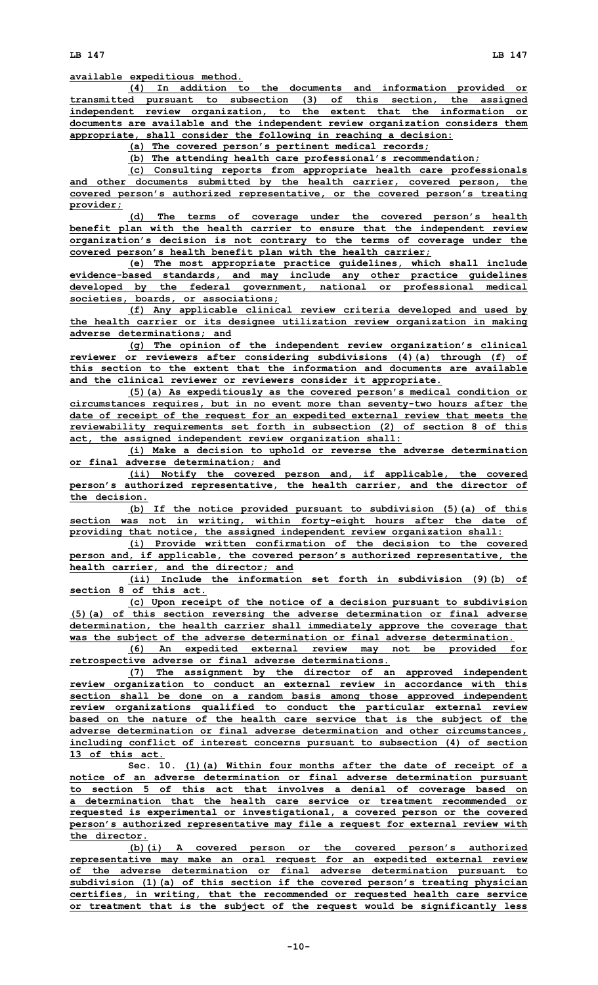**(4) In addition to the documents and information provided or transmitted pursuant to subsection (3) of this section, the assigned independent review organization, to the extent that the information or documents are available and the independent review organization considers them appropriate, shall consider the following in reaching <sup>a</sup> decision:**

**(a) The covered person's pertinent medical records;**

**(b) The attending health care professional's recommendation;**

**(c) Consulting reports from appropriate health care professionals and other documents submitted by the health carrier, covered person, the covered person's authorized representative, or the covered person's treating provider;**

**(d) The terms of coverage under the covered person's health benefit plan with the health carrier to ensure that the independent review organization's decision is not contrary to the terms of coverage under the covered person's health benefit plan with the health carrier;**

**(e) The most appropriate practice guidelines, which shall include evidence-based standards, and may include any other practice guidelines developed by the federal government, national or professional medical societies, boards, or associations;**

**(f) Any applicable clinical review criteria developed and used by the health carrier or its designee utilization review organization in making adverse determinations; and**

**(g) The opinion of the independent review organization's clinical reviewer or reviewers after considering subdivisions (4)(a) through (f) of this section to the extent that the information and documents are available and the clinical reviewer or reviewers consider it appropriate.**

**(5)(a) As expeditiously as the covered person's medical condition or circumstances requires, but in no event more than seventy-two hours after the date of receipt of the request for an expedited external review that meets the reviewability requirements set forth in subsection (2) of section 8 of this act, the assigned independent review organization shall:**

**(i) Make <sup>a</sup> decision to uphold or reverse the adverse determination or final adverse determination; and**

**(ii) Notify the covered person and, if applicable, the covered person's authorized representative, the health carrier, and the director of the decision.**

**(b) If the notice provided pursuant to subdivision (5)(a) of this section was not in writing, within forty-eight hours after the date of providing that notice, the assigned independent review organization shall:**

**(i) Provide written confirmation of the decision to the covered person and, if applicable, the covered person's authorized representative, the health carrier, and the director; and**

**(ii) Include the information set forth in subdivision (9)(b) of section 8 of this act.**

**(c) Upon receipt of the notice of <sup>a</sup> decision pursuant to subdivision (5)(a) of this section reversing the adverse determination or final adverse determination, the health carrier shall immediately approve the coverage that was the subject of the adverse determination or final adverse determination.**

**(6) An expedited external review may not be provided for retrospective adverse or final adverse determinations.**

**(7) The assignment by the director of an approved independent review organization to conduct an external review in accordance with this section shall be done on <sup>a</sup> random basis among those approved independent review organizations qualified to conduct the particular external review based on the nature of the health care service that is the subject of the adverse determination or final adverse determination and other circumstances, including conflict of interest concerns pursuant to subsection (4) of section 13 of this act.**

**Sec. 10. (1)(a) Within four months after the date of receipt of <sup>a</sup> notice of an adverse determination or final adverse determination pursuant to section 5 of this act that involves <sup>a</sup> denial of coverage based on a determination that the health care service or treatment recommended or requested is experimental or investigational, <sup>a</sup> covered person or the covered person's authorized representative may file <sup>a</sup> request for external review with the director.**

**(b)(i) <sup>A</sup> covered person or the covered person's authorized representative may make an oral request for an expedited external review of the adverse determination or final adverse determination pursuant to subdivision (1)(a) of this section if the covered person's treating physician certifies, in writing, that the recommended or requested health care service or treatment that is the subject of the request would be significantly less**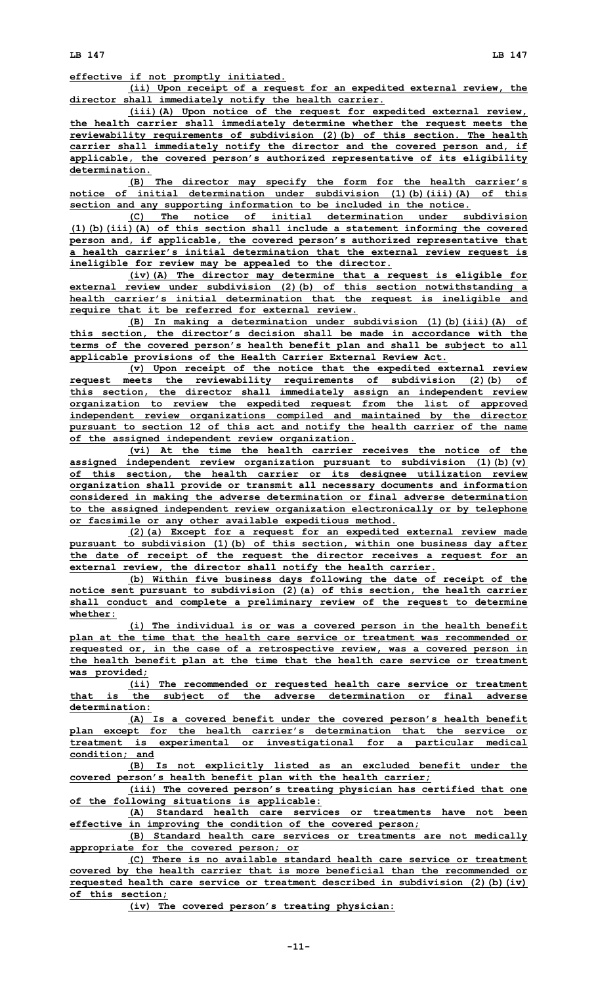**LB 147 LB 147**

**effective if not promptly initiated.**

**(ii) Upon receipt of <sup>a</sup> request for an expedited external review, the director shall immediately notify the health carrier.**

**(iii)(A) Upon notice of the request for expedited external review, the health carrier shall immediately determine whether the request meets the reviewability requirements of subdivision (2)(b) of this section. The health carrier shall immediately notify the director and the covered person and, if applicable, the covered person's authorized representative of its eligibility determination.**

**(B) The director may specify the form for the health carrier's notice of initial determination under subdivision (1)(b)(iii)(A) of this section and any supporting information to be included in the notice.**

**(C) The notice of initial determination under subdivision (1)(b)(iii)(A) of this section shall include <sup>a</sup> statement informing the covered person and, if applicable, the covered person's authorized representative that <sup>a</sup> health carrier's initial determination that the external review request is ineligible for review may be appealed to the director.**

**(iv)(A) The director may determine that <sup>a</sup> request is eligible for external review under subdivision (2)(b) of this section notwithstanding <sup>a</sup> health carrier's initial determination that the request is ineligible and require that it be referred for external review.**

**(B) In making <sup>a</sup> determination under subdivision (1)(b)(iii)(A) of this section, the director's decision shall be made in accordance with the terms of the covered person's health benefit plan and shall be subject to all applicable provisions of the Health Carrier External Review Act.**

**(v) Upon receipt of the notice that the expedited external review request meets the reviewability requirements of subdivision (2)(b) of this section, the director shall immediately assign an independent review organization to review the expedited request from the list of approved independent review organizations compiled and maintained by the director pursuant to section 12 of this act and notify the health carrier of the name of the assigned independent review organization.**

**(vi) At the time the health carrier receives the notice of the assigned independent review organization pursuant to subdivision (1)(b)(v) of this section, the health carrier or its designee utilization review organization shall provide or transmit all necessary documents and information considered in making the adverse determination or final adverse determination to the assigned independent review organization electronically or by telephone or facsimile or any other available expeditious method.**

**(2)(a) Except for <sup>a</sup> request for an expedited external review made pursuant to subdivision (1)(b) of this section, within one business day after the date of receipt of the request the director receives <sup>a</sup> request for an external review, the director shall notify the health carrier.**

**(b) Within five business days following the date of receipt of the notice sent pursuant to subdivision (2)(a) of this section, the health carrier shall conduct and complete <sup>a</sup> preliminary review of the request to determine whether:**

**(i) The individual is or was <sup>a</sup> covered person in the health benefit plan at the time that the health care service or treatment was recommended or requested or, in the case of <sup>a</sup> retrospective review, was <sup>a</sup> covered person in the health benefit plan at the time that the health care service or treatment was provided;**

**(ii) The recommended or requested health care service or treatment that is the subject of the adverse determination or final adverse determination:**

**(A) Is <sup>a</sup> covered benefit under the covered person's health benefit plan except for the health carrier's determination that the service or treatment is experimental or investigational for <sup>a</sup> particular medical condition; and**

**(B) Is not explicitly listed as an excluded benefit under the covered person's health benefit plan with the health carrier;**

**(iii) The covered person's treating physician has certified that one of the following situations is applicable:**

**(A) Standard health care services or treatments have not been effective in improving the condition of the covered person;**

**(B) Standard health care services or treatments are not medically appropriate for the covered person; or**

**(C) There is no available standard health care service or treatment covered by the health carrier that is more beneficial than the recommended or requested health care service or treatment described in subdivision (2)(b)(iv) of this section;**

**(iv) The covered person's treating physician:**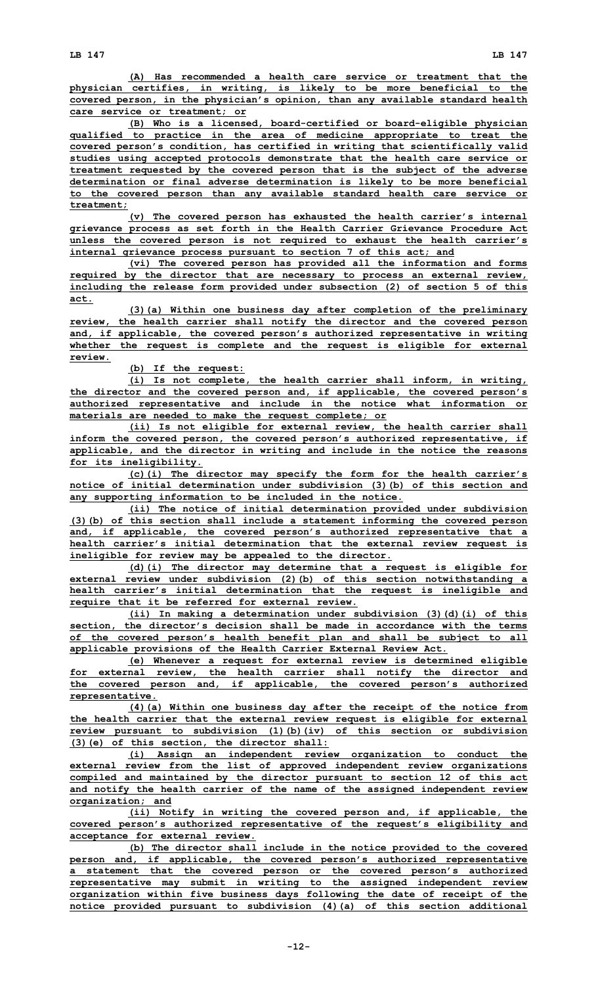**(A) Has recommended <sup>a</sup> health care service or treatment that the physician certifies, in writing, is likely to be more beneficial to the covered person, in the physician's opinion, than any available standard health care service or treatment; or**

**(B) Who is <sup>a</sup> licensed, board-certified or board-eligible physician qualified to practice in the area of medicine appropriate to treat the covered person's condition, has certified in writing that scientifically valid studies using accepted protocols demonstrate that the health care service or treatment requested by the covered person that is the subject of the adverse determination or final adverse determination is likely to be more beneficial to the covered person than any available standard health care service or treatment;**

**(v) The covered person has exhausted the health carrier's internal grievance process as set forth in the Health Carrier Grievance Procedure Act unless the covered person is not required to exhaust the health carrier's internal grievance process pursuant to section 7 of this act; and**

**(vi) The covered person has provided all the information and forms required by the director that are necessary to process an external review, including the release form provided under subsection (2) of section 5 of this act.**

**(3)(a) Within one business day after completion of the preliminary review, the health carrier shall notify the director and the covered person and, if applicable, the covered person's authorized representative in writing whether the request is complete and the request is eligible for external review.**

**(b) If the request:**

**(i) Is not complete, the health carrier shall inform, in writing, the director and the covered person and, if applicable, the covered person's authorized representative and include in the notice what information or materials are needed to make the request complete; or**

**(ii) Is not eligible for external review, the health carrier shall inform the covered person, the covered person's authorized representative, if applicable, and the director in writing and include in the notice the reasons for its ineligibility.**

**(c)(i) The director may specify the form for the health carrier's notice of initial determination under subdivision (3)(b) of this section and any supporting information to be included in the notice.**

**(ii) The notice of initial determination provided under subdivision (3)(b) of this section shall include <sup>a</sup> statement informing the covered person and, if applicable, the covered person's authorized representative that <sup>a</sup> health carrier's initial determination that the external review request is ineligible for review may be appealed to the director.**

**(d)(i) The director may determine that <sup>a</sup> request is eligible for external review under subdivision (2)(b) of this section notwithstanding <sup>a</sup> health carrier's initial determination that the request is ineligible and require that it be referred for external review.**

**(ii) In making <sup>a</sup> determination under subdivision (3)(d)(i) of this section, the director's decision shall be made in accordance with the terms of the covered person's health benefit plan and shall be subject to all applicable provisions of the Health Carrier External Review Act.**

**(e) Whenever <sup>a</sup> request for external review is determined eligible for external review, the health carrier shall notify the director and the covered person and, if applicable, the covered person's authorized representative.**

**(4)(a) Within one business day after the receipt of the notice from the health carrier that the external review request is eligible for external review pursuant to subdivision (1)(b)(iv) of this section or subdivision (3)(e) of this section, the director shall:**

**(i) Assign an independent review organization to conduct the external review from the list of approved independent review organizations compiled and maintained by the director pursuant to section 12 of this act and notify the health carrier of the name of the assigned independent review organization; and**

**(ii) Notify in writing the covered person and, if applicable, the covered person's authorized representative of the request's eligibility and acceptance for external review.**

**(b) The director shall include in the notice provided to the covered person and, if applicable, the covered person's authorized representative <sup>a</sup> statement that the covered person or the covered person's authorized representative may submit in writing to the assigned independent review organization within five business days following the date of receipt of the notice provided pursuant to subdivision (4)(a) of this section additional**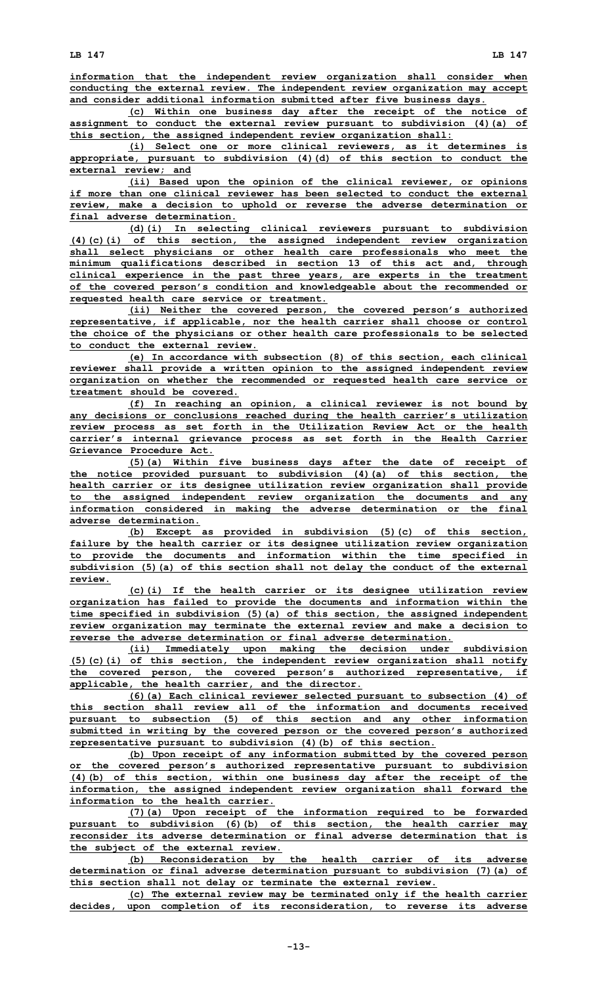**information that the independent review organization shall consider when conducting the external review. The independent review organization may accept and consider additional information submitted after five business days.**

**(c) Within one business day after the receipt of the notice of assignment to conduct the external review pursuant to subdivision (4)(a) of this section, the assigned independent review organization shall:**

**(i) Select one or more clinical reviewers, as it determines is appropriate, pursuant to subdivision (4)(d) of this section to conduct the external review; and**

**(ii) Based upon the opinion of the clinical reviewer, or opinions if more than one clinical reviewer has been selected to conduct the external review, make <sup>a</sup> decision to uphold or reverse the adverse determination or final adverse determination.**

**(d)(i) In selecting clinical reviewers pursuant to subdivision (4)(c)(i) of this section, the assigned independent review organization shall select physicians or other health care professionals who meet the minimum qualifications described in section 13 of this act and, through clinical experience in the past three years, are experts in the treatment of the covered person's condition and knowledgeable about the recommended or requested health care service or treatment.**

**(ii) Neither the covered person, the covered person's authorized representative, if applicable, nor the health carrier shall choose or control the choice of the physicians or other health care professionals to be selected to conduct the external review.**

**(e) In accordance with subsection (8) of this section, each clinical reviewer shall provide <sup>a</sup> written opinion to the assigned independent review organization on whether the recommended or requested health care service or treatment should be covered.**

**(f) In reaching an opinion, <sup>a</sup> clinical reviewer is not bound by any decisions or conclusions reached during the health carrier's utilization review process as set forth in the Utilization Review Act or the health carrier's internal grievance process as set forth in the Health Carrier Grievance Procedure Act.**

**(5)(a) Within five business days after the date of receipt of the notice provided pursuant to subdivision (4)(a) of this section, the health carrier or its designee utilization review organization shall provide to the assigned independent review organization the documents and any information considered in making the adverse determination or the final adverse determination.**

**(b) Except as provided in subdivision (5)(c) of this section, failure by the health carrier or its designee utilization review organization to provide the documents and information within the time specified in subdivision (5)(a) of this section shall not delay the conduct of the external review.**

**(c)(i) If the health carrier or its designee utilization review organization has failed to provide the documents and information within the time specified in subdivision (5)(a) of this section, the assigned independent review organization may terminate the external review and make <sup>a</sup> decision to reverse the adverse determination or final adverse determination.**

**(ii) Immediately upon making the decision under subdivision (5)(c)(i) of this section, the independent review organization shall notify the covered person, the covered person's authorized representative, if applicable, the health carrier, and the director.**

**(6)(a) Each clinical reviewer selected pursuant to subsection (4) of this section shall review all of the information and documents received pursuant to subsection (5) of this section and any other information submitted in writing by the covered person or the covered person's authorized representative pursuant to subdivision (4)(b) of this section.**

**(b) Upon receipt of any information submitted by the covered person or the covered person's authorized representative pursuant to subdivision (4)(b) of this section, within one business day after the receipt of the information, the assigned independent review organization shall forward the information to the health carrier.**

**(7)(a) Upon receipt of the information required to be forwarded pursuant to subdivision (6)(b) of this section, the health carrier may reconsider its adverse determination or final adverse determination that is the subject of the external review.**

**(b) Reconsideration by the health carrier of its adverse determination or final adverse determination pursuant to subdivision (7)(a) of this section shall not delay or terminate the external review.**

**(c) The external review may be terminated only if the health carrier decides, upon completion of its reconsideration, to reverse its adverse**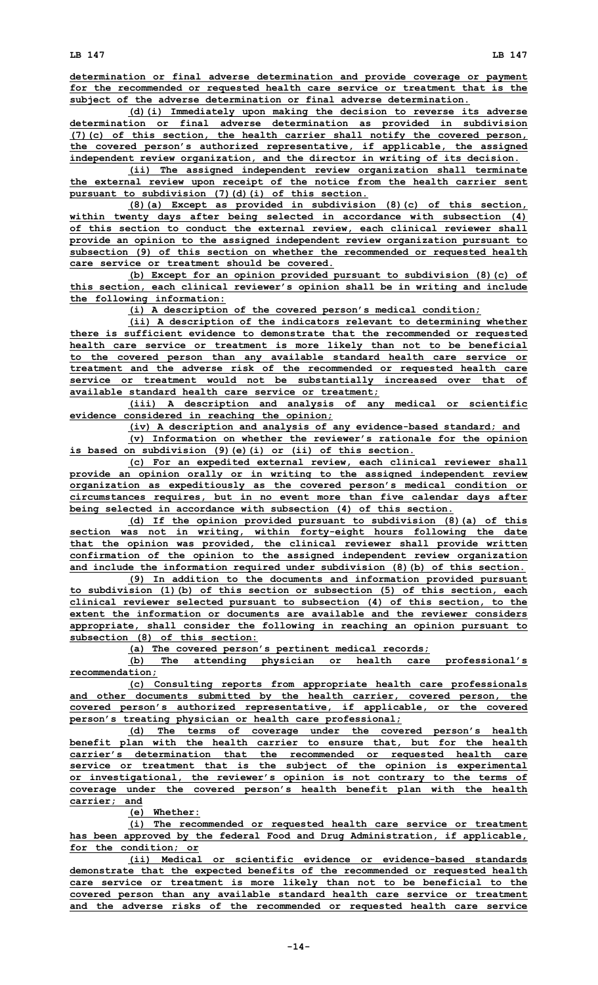**determination or final adverse determination and provide coverage or payment for the recommended or requested health care service or treatment that is the subject of the adverse determination or final adverse determination.**

**(d)(i) Immediately upon making the decision to reverse its adverse determination or final adverse determination as provided in subdivision (7)(c) of this section, the health carrier shall notify the covered person, the covered person's authorized representative, if applicable, the assigned independent review organization, and the director in writing of its decision.**

**(ii) The assigned independent review organization shall terminate the external review upon receipt of the notice from the health carrier sent pursuant to subdivision (7)(d)(i) of this section.**

**(8)(a) Except as provided in subdivision (8)(c) of this section, within twenty days after being selected in accordance with subsection (4) of this section to conduct the external review, each clinical reviewer shall provide an opinion to the assigned independent review organization pursuant to subsection (9) of this section on whether the recommended or requested health care service or treatment should be covered.**

**(b) Except for an opinion provided pursuant to subdivision (8)(c) of this section, each clinical reviewer's opinion shall be in writing and include the following information:**

**(i) <sup>A</sup> description of the covered person's medical condition;**

**(ii) <sup>A</sup> description of the indicators relevant to determining whether there is sufficient evidence to demonstrate that the recommended or requested health care service or treatment is more likely than not to be beneficial to the covered person than any available standard health care service or treatment and the adverse risk of the recommended or requested health care service or treatment would not be substantially increased over that of available standard health care service or treatment;**

**(iii) <sup>A</sup> description and analysis of any medical or scientific evidence considered in reaching the opinion;**

**(iv) <sup>A</sup> description and analysis of any evidence-based standard; and**

**(v) Information on whether the reviewer's rationale for the opinion is based on subdivision (9)(e)(i) or (ii) of this section.**

**(c) For an expedited external review, each clinical reviewer shall provide an opinion orally or in writing to the assigned independent review organization as expeditiously as the covered person's medical condition or circumstances requires, but in no event more than five calendar days after being selected in accordance with subsection (4) of this section.**

**(d) If the opinion provided pursuant to subdivision (8)(a) of this section was not in writing, within forty-eight hours following the date that the opinion was provided, the clinical reviewer shall provide written confirmation of the opinion to the assigned independent review organization and include the information required under subdivision (8)(b) of this section.**

**(9) In addition to the documents and information provided pursuant to subdivision (1)(b) of this section or subsection (5) of this section, each clinical reviewer selected pursuant to subsection (4) of this section, to the extent the information or documents are available and the reviewer considers appropriate, shall consider the following in reaching an opinion pursuant to subsection (8) of this section:**

**(a) The covered person's pertinent medical records;**

**(b) The attending physician or health care professional's recommendation;**

**(c) Consulting reports from appropriate health care professionals and other documents submitted by the health carrier, covered person, the covered person's authorized representative, if applicable, or the covered person's treating physician or health care professional;**

**(d) The terms of coverage under the covered person's health benefit plan with the health carrier to ensure that, but for the health carrier's determination that the recommended or requested health care service or treatment that is the subject of the opinion is experimental or investigational, the reviewer's opinion is not contrary to the terms of coverage under the covered person's health benefit plan with the health carrier; and**

**(e) Whether:**

**(i) The recommended or requested health care service or treatment has been approved by the federal Food and Drug Administration, if applicable, for the condition; or**

**(ii) Medical or scientific evidence or evidence-based standards demonstrate that the expected benefits of the recommended or requested health care service or treatment is more likely than not to be beneficial to the covered person than any available standard health care service or treatment and the adverse risks of the recommended or requested health care service**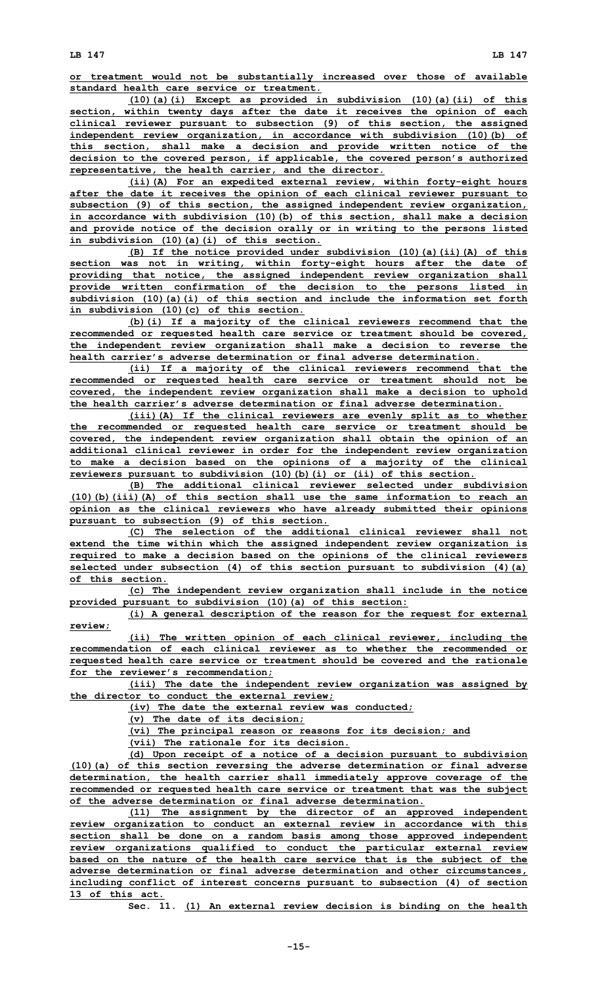**or treatment would not be substantially increased over those of available standard health care service or treatment.**

**(10)(a)(i) Except as provided in subdivision (10)(a)(ii) of this section, within twenty days after the date it receives the opinion of each clinical reviewer pursuant to subsection (9) of this section, the assigned independent review organization, in accordance with subdivision (10)(b) of this section, shall make <sup>a</sup> decision and provide written notice of the decision to the covered person, if applicable, the covered person's authorized representative, the health carrier, and the director.**

**(ii)(A) For an expedited external review, within forty-eight hours after the date it receives the opinion of each clinical reviewer pursuant to subsection (9) of this section, the assigned independent review organization, in accordance with subdivision (10)(b) of this section, shall make <sup>a</sup> decision and provide notice of the decision orally or in writing to the persons listed in subdivision (10)(a)(i) of this section.**

**(B) If the notice provided under subdivision (10)(a)(ii)(A) of this section was not in writing, within forty-eight hours after the date of providing that notice, the assigned independent review organization shall provide written confirmation of the decision to the persons listed in subdivision (10)(a)(i) of this section and include the information set forth in subdivision (10)(c) of this section.**

**(b)(i) If <sup>a</sup> majority of the clinical reviewers recommend that the recommended or requested health care service or treatment should be covered, the independent review organization shall make <sup>a</sup> decision to reverse the health carrier's adverse determination or final adverse determination.**

**(ii) If <sup>a</sup> majority of the clinical reviewers recommend that the recommended or requested health care service or treatment should not be covered, the independent review organization shall make <sup>a</sup> decision to uphold the health carrier's adverse determination or final adverse determination.**

**(iii)(A) If the clinical reviewers are evenly split as to whether the recommended or requested health care service or treatment should be covered, the independent review organization shall obtain the opinion of an additional clinical reviewer in order for the independent review organization to make <sup>a</sup> decision based on the opinions of <sup>a</sup> majority of the clinical reviewers pursuant to subdivision (10)(b)(i) or (ii) of this section.**

**(B) The additional clinical reviewer selected under subdivision (10)(b)(iii)(A) of this section shall use the same information to reach an opinion as the clinical reviewers who have already submitted their opinions pursuant to subsection (9) of this section.**

**(C) The selection of the additional clinical reviewer shall not extend the time within which the assigned independent review organization is required to make <sup>a</sup> decision based on the opinions of the clinical reviewers selected under subsection (4) of this section pursuant to subdivision (4)(a) of this section.**

**(c) The independent review organization shall include in the notice provided pursuant to subdivision (10)(a) of this section:**

**(i) <sup>A</sup> general description of the reason for the request for external review;**

**(ii) The written opinion of each clinical reviewer, including the recommendation of each clinical reviewer as to whether the recommended or requested health care service or treatment should be covered and the rationale for the reviewer's recommendation;**

**(iii) The date the independent review organization was assigned by the director to conduct the external review;**

**(iv) The date the external review was conducted;**

**(v) The date of its decision;**

**(vi) The principal reason or reasons for its decision; and**

**(vii) The rationale for its decision.**

**(d) Upon receipt of <sup>a</sup> notice of <sup>a</sup> decision pursuant to subdivision (10)(a) of this section reversing the adverse determination or final adverse determination, the health carrier shall immediately approve coverage of the recommended or requested health care service or treatment that was the subject of the adverse determination or final adverse determination.**

**(11) The assignment by the director of an approved independent review organization to conduct an external review in accordance with this section shall be done on <sup>a</sup> random basis among those approved independent review organizations qualified to conduct the particular external review based on the nature of the health care service that is the subject of the adverse determination or final adverse determination and other circumstances, including conflict of interest concerns pursuant to subsection (4) of section 13 of this act.**

**Sec. 11. (1) An external review decision is binding on the health**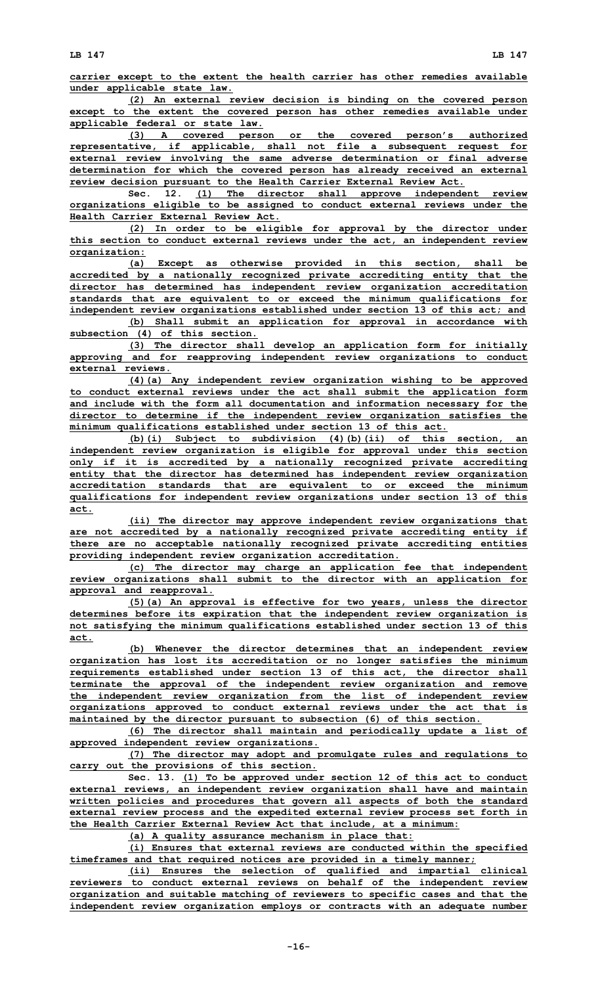**carrier except to the extent the health carrier has other remedies available**

**under applicable state law. (2) An external review decision is binding on the covered person except to the extent the covered person has other remedies available under applicable federal or state law.**

**(3) <sup>A</sup> covered person or the covered person's authorized representative, if applicable, shall not file <sup>a</sup> subsequent request for external review involving the same adverse determination or final adverse determination for which the covered person has already received an external review decision pursuant to the Health Carrier External Review Act.**

**Sec. 12. (1) The director shall approve independent review organizations eligible to be assigned to conduct external reviews under the Health Carrier External Review Act.**

**(2) In order to be eligible for approval by the director under this section to conduct external reviews under the act, an independent review organization:**

**(a) Except as otherwise provided in this section, shall be accredited by <sup>a</sup> nationally recognized private accrediting entity that the director has determined has independent review organization accreditation standards that are equivalent to or exceed the minimum qualifications for independent review organizations established under section 13 of this act; and**

**(b) Shall submit an application for approval in accordance with subsection (4) of this section.**

**(3) The director shall develop an application form for initially approving and for reapproving independent review organizations to conduct external reviews.**

**(4)(a) Any independent review organization wishing to be approved to conduct external reviews under the act shall submit the application form and include with the form all documentation and information necessary for the director to determine if the independent review organization satisfies the minimum qualifications established under section 13 of this act.**

**(b)(i) Subject to subdivision (4)(b)(ii) of this section, an independent review organization is eligible for approval under this section only if it is accredited by <sup>a</sup> nationally recognized private accrediting entity that the director has determined has independent review organization accreditation standards that are equivalent to or exceed the minimum qualifications for independent review organizations under section 13 of this act.**

**(ii) The director may approve independent review organizations that are not accredited by <sup>a</sup> nationally recognized private accrediting entity if there are no acceptable nationally recognized private accrediting entities providing independent review organization accreditation.**

**(c) The director may charge an application fee that independent review organizations shall submit to the director with an application for approval and reapproval.**

**(5)(a) An approval is effective for two years, unless the director determines before its expiration that the independent review organization is not satisfying the minimum qualifications established under section 13 of this act.**

**(b) Whenever the director determines that an independent review organization has lost its accreditation or no longer satisfies the minimum requirements established under section 13 of this act, the director shall terminate the approval of the independent review organization and remove the independent review organization from the list of independent review organizations approved to conduct external reviews under the act that is maintained by the director pursuant to subsection (6) of this section.**

**(6) The director shall maintain and periodically update <sup>a</sup> list of approved independent review organizations.**

**(7) The director may adopt and promulgate rules and regulations to carry out the provisions of this section.**

**Sec. 13. (1) To be approved under section 12 of this act to conduct external reviews, an independent review organization shall have and maintain written policies and procedures that govern all aspects of both the standard external review process and the expedited external review process set forth in the Health Carrier External Review Act that include, at <sup>a</sup> minimum:**

**(a) <sup>A</sup> quality assurance mechanism in place that:**

**(i) Ensures that external reviews are conducted within the specified timeframes and that required notices are provided in <sup>a</sup> timely manner;**

**(ii) Ensures the selection of qualified and impartial clinical reviewers to conduct external reviews on behalf of the independent review organization and suitable matching of reviewers to specific cases and that the independent review organization employs or contracts with an adequate number**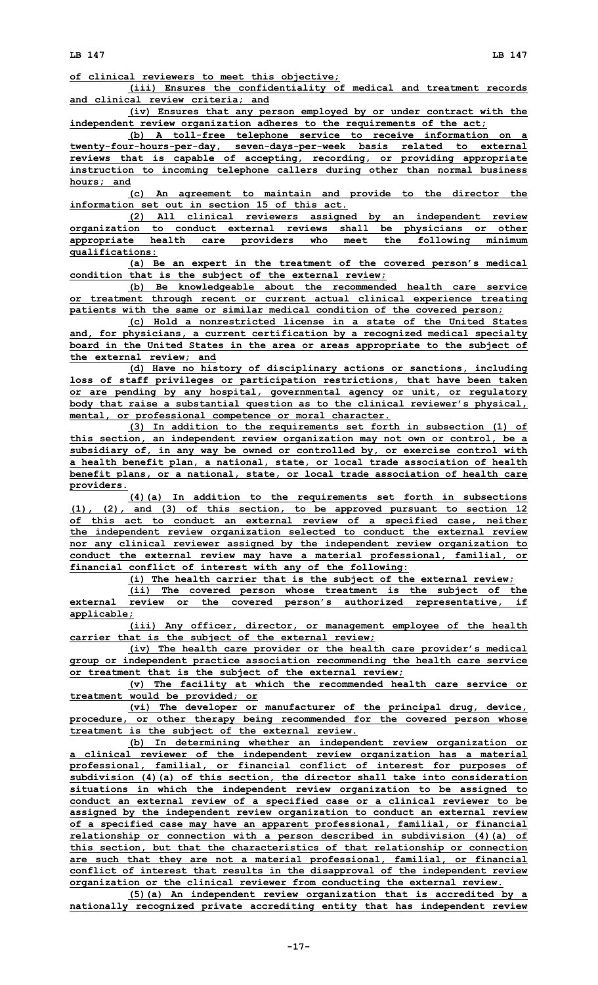**LB 147 LB 147**

**(iii) Ensures the confidentiality of medical and treatment records and clinical review criteria; and**

**(iv) Ensures that any person employed by or under contract with the independent review organization adheres to the requirements of the act;**

**(b) <sup>A</sup> toll-free telephone service to receive information on <sup>a</sup> twenty-four-hours-per-day, seven-days-per-week basis related to external reviews that is capable of accepting, recording, or providing appropriate instruction to incoming telephone callers during other than normal business hours; and**

**(c) An agreement to maintain and provide to the director the information set out in section 15 of this act.**

**(2) All clinical reviewers assigned by an independent review organization to conduct external reviews shall be physicians or other appropriate health care providers who meet the following minimum qualifications:**

**(a) Be an expert in the treatment of the covered person's medical condition that is the subject of the external review;**

**(b) Be knowledgeable about the recommended health care service or treatment through recent or current actual clinical experience treating patients with the same or similar medical condition of the covered person;**

**(c) Hold <sup>a</sup> nonrestricted license in <sup>a</sup> state of the United States and, for physicians, <sup>a</sup> current certification by <sup>a</sup> recognized medical specialty board in the United States in the area or areas appropriate to the subject of the external review; and**

**(d) Have no history of disciplinary actions or sanctions, including loss of staff privileges or participation restrictions, that have been taken or are pending by any hospital, governmental agency or unit, or regulatory body that raise <sup>a</sup> substantial question as to the clinical reviewer's physical, mental, or professional competence or moral character.**

**(3) In addition to the requirements set forth in subsection (1) of this section, an independent review organization may not own or control, be <sup>a</sup> subsidiary of, in any way be owned or controlled by, or exercise control with <sup>a</sup> health benefit plan, <sup>a</sup> national, state, or local trade association of health benefit plans, or <sup>a</sup> national, state, or local trade association of health care providers.**

**(4)(a) In addition to the requirements set forth in subsections (1), (2), and (3) of this section, to be approved pursuant to section 12 of this act to conduct an external review of <sup>a</sup> specified case, neither the independent review organization selected to conduct the external review nor any clinical reviewer assigned by the independent review organization to conduct the external review may have <sup>a</sup> material professional, familial, or financial conflict of interest with any of the following:**

**(i) The health carrier that is the subject of the external review;**

**(ii) The covered person whose treatment is the subject of the external review or the covered person's authorized representative, if applicable;**

**(iii) Any officer, director, or management employee of the health carrier that is the subject of the external review;**

**(iv) The health care provider or the health care provider's medical group or independent practice association recommending the health care service or treatment that is the subject of the external review;**

**(v) The facility at which the recommended health care service or treatment would be provided; or**

**(vi) The developer or manufacturer of the principal drug, device, procedure, or other therapy being recommended for the covered person whose treatment is the subject of the external review.**

**(b) In determining whether an independent review organization or <sup>a</sup> clinical reviewer of the independent review organization has <sup>a</sup> material professional, familial, or financial conflict of interest for purposes of subdivision (4)(a) of this section, the director shall take into consideration situations in which the independent review organization to be assigned to conduct an external review of <sup>a</sup> specified case or <sup>a</sup> clinical reviewer to be assigned by the independent review organization to conduct an external review of <sup>a</sup> specified case may have an apparent professional, familial, or financial relationship or connection with <sup>a</sup> person described in subdivision (4)(a) of this section, but that the characteristics of that relationship or connection are such that they are not <sup>a</sup> material professional, familial, or financial conflict of interest that results in the disapproval of the independent review organization or the clinical reviewer from conducting the external review.**

**(5)(a) An independent review organization that is accredited by <sup>a</sup> nationally recognized private accrediting entity that has independent review**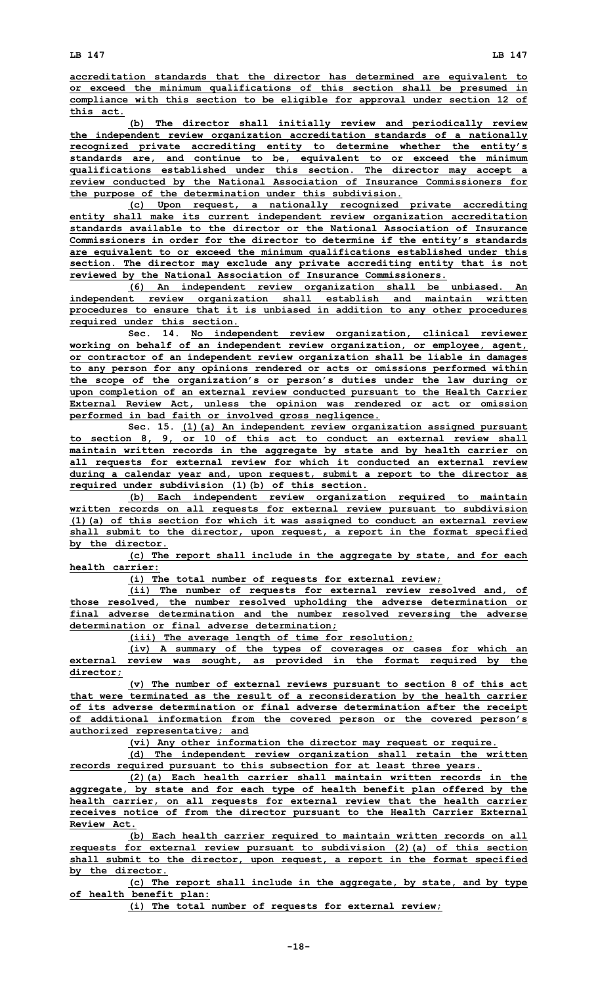**accreditation standards that the director has determined are equivalent to or exceed the minimum qualifications of this section shall be presumed in compliance with this section to be eligible for approval under section 12 of this act.**

**(b) The director shall initially review and periodically review the independent review organization accreditation standards of <sup>a</sup> nationally recognized private accrediting entity to determine whether the entity's standards are, and continue to be, equivalent to or exceed the minimum qualifications established under this section. The director may accept <sup>a</sup> review conducted by the National Association of Insurance Commissioners for the purpose of the determination under this subdivision.**

**(c) Upon request, <sup>a</sup> nationally recognized private accrediting entity shall make its current independent review organization accreditation standards available to the director or the National Association of Insurance Commissioners in order for the director to determine if the entity's standards are equivalent to or exceed the minimum qualifications established under this section. The director may exclude any private accrediting entity that is not reviewed by the National Association of Insurance Commissioners.**

**(6) An independent review organization shall be unbiased. An independent review organization shall establish and maintain written procedures to ensure that it is unbiased in addition to any other procedures required under this section.**

**Sec. 14. No independent review organization, clinical reviewer working on behalf of an independent review organization, or employee, agent, or contractor of an independent review organization shall be liable in damages to any person for any opinions rendered or acts or omissions performed within the scope of the organization's or person's duties under the law during or upon completion of an external review conducted pursuant to the Health Carrier External Review Act, unless the opinion was rendered or act or omission performed in bad faith or involved gross negligence.**

**Sec. 15. (1)(a) An independent review organization assigned pursuant to section 8, 9, or 10 of this act to conduct an external review shall maintain written records in the aggregate by state and by health carrier on all requests for external review for which it conducted an external review during <sup>a</sup> calendar year and, upon request, submit <sup>a</sup> report to the director as required under subdivision (1)(b) of this section.**

**(b) Each independent review organization required to maintain written records on all requests for external review pursuant to subdivision (1)(a) of this section for which it was assigned to conduct an external review shall submit to the director, upon request, <sup>a</sup> report in the format specified by the director.**

**(c) The report shall include in the aggregate by state, and for each health carrier:**

**(i) The total number of requests for external review;**

**(ii) The number of requests for external review resolved and, of those resolved, the number resolved upholding the adverse determination or final adverse determination and the number resolved reversing the adverse determination or final adverse determination;**

**(iii) The average length of time for resolution;**

**(iv) <sup>A</sup> summary of the types of coverages or cases for which an external review was sought, as provided in the format required by the director;**

**(v) The number of external reviews pursuant to section 8 of this act that were terminated as the result of <sup>a</sup> reconsideration by the health carrier of its adverse determination or final adverse determination after the receipt of additional information from the covered person or the covered person's authorized representative; and**

**(vi) Any other information the director may request or require.**

**(d) The independent review organization shall retain the written records required pursuant to this subsection for at least three years.**

**(2)(a) Each health carrier shall maintain written records in the aggregate, by state and for each type of health benefit plan offered by the health carrier, on all requests for external review that the health carrier receives notice of from the director pursuant to the Health Carrier External Review Act.**

**(b) Each health carrier required to maintain written records on all requests for external review pursuant to subdivision (2)(a) of this section shall submit to the director, upon request, <sup>a</sup> report in the format specified by the director.**

**(c) The report shall include in the aggregate, by state, and by type of health benefit plan:**

**(i) The total number of requests for external review;**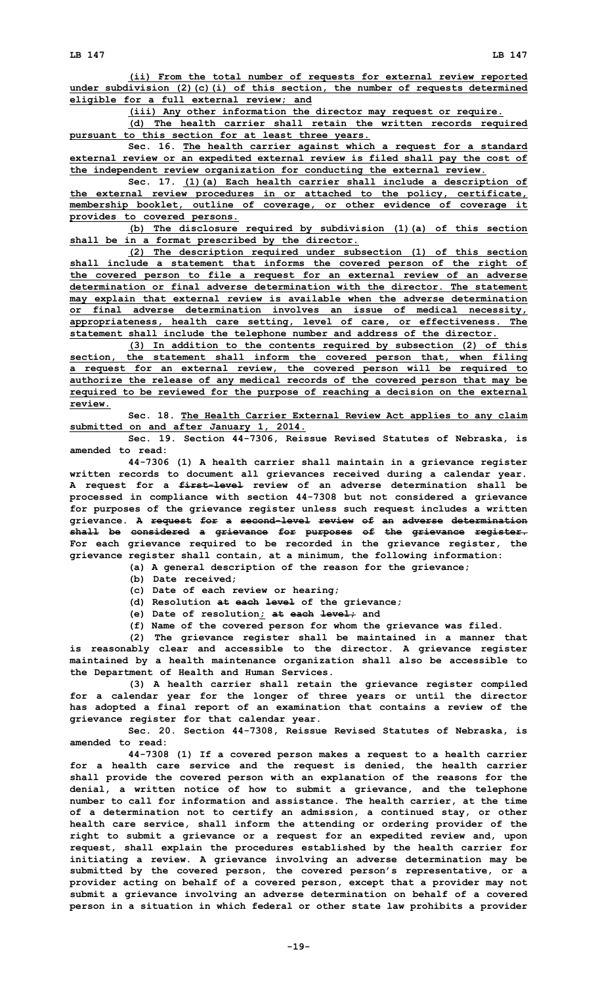**eligible for <sup>a</sup> full external review; and**

**(iii) Any other information the director may request or require.**

**(d) The health carrier shall retain the written records required pursuant to this section for at least three years.**

**Sec. 16. The health carrier against which <sup>a</sup> request for <sup>a</sup> standard external review or an expedited external review is filed shall pay the cost of the independent review organization for conducting the external review.**

**Sec. 17. (1)(a) Each health carrier shall include <sup>a</sup> description of the external review procedures in or attached to the policy, certificate, membership booklet, outline of coverage, or other evidence of coverage it provides to covered persons.**

**(b) The disclosure required by subdivision (1)(a) of this section shall be in <sup>a</sup> format prescribed by the director.**

**(2) The description required under subsection (1) of this section shall include <sup>a</sup> statement that informs the covered person of the right of the covered person to file <sup>a</sup> request for an external review of an adverse determination or final adverse determination with the director. The statement may explain that external review is available when the adverse determination or final adverse determination involves an issue of medical necessity, appropriateness, health care setting, level of care, or effectiveness. The statement shall include the telephone number and address of the director.**

**(3) In addition to the contents required by subsection (2) of this section, the statement shall inform the covered person that, when filing <sup>a</sup> request for an external review, the covered person will be required to authorize the release of any medical records of the covered person that may be required to be reviewed for the purpose of reaching <sup>a</sup> decision on the external review.**

**Sec. 18. The Health Carrier External Review Act applies to any claim submitted on and after January 1, 2014.**

**Sec. 19. Section 44-7306, Reissue Revised Statutes of Nebraska, is amended to read:**

**44-7306 (1) <sup>A</sup> health carrier shall maintain in <sup>a</sup> grievance register written records to document all grievances received during <sup>a</sup> calendar year. A request for <sup>a</sup> first-level review of an adverse determination shall be processed in compliance with section 44-7308 but not considered <sup>a</sup> grievance for purposes of the grievance register unless such request includes <sup>a</sup> written grievance. A request for <sup>a</sup> second-level review of an adverse determination shall be considered <sup>a</sup> grievance for purposes of the grievance register. For each grievance required to be recorded in the grievance register, the grievance register shall contain, at <sup>a</sup> minimum, the following information:**

**(a) <sup>A</sup> general description of the reason for the grievance;**

**(b) Date received;**

**(c) Date of each review or hearing;**

**(d) Resolution at each level of the grievance;**

**(e) Date of resolution; at each level; and**

**(f) Name of the covered person for whom the grievance was filed.**

**(2) The grievance register shall be maintained in <sup>a</sup> manner that is reasonably clear and accessible to the director. A grievance register maintained by <sup>a</sup> health maintenance organization shall also be accessible to the Department of Health and Human Services.**

**(3) <sup>A</sup> health carrier shall retain the grievance register compiled for <sup>a</sup> calendar year for the longer of three years or until the director has adopted <sup>a</sup> final report of an examination that contains <sup>a</sup> review of the grievance register for that calendar year.**

**Sec. 20. Section 44-7308, Reissue Revised Statutes of Nebraska, is amended to read:**

**44-7308 (1) If <sup>a</sup> covered person makes <sup>a</sup> request to <sup>a</sup> health carrier for <sup>a</sup> health care service and the request is denied, the health carrier shall provide the covered person with an explanation of the reasons for the denial, <sup>a</sup> written notice of how to submit <sup>a</sup> grievance, and the telephone number to call for information and assistance. The health carrier, at the time of <sup>a</sup> determination not to certify an admission, <sup>a</sup> continued stay, or other health care service, shall inform the attending or ordering provider of the right to submit <sup>a</sup> grievance or <sup>a</sup> request for an expedited review and, upon request, shall explain the procedures established by the health carrier for initiating <sup>a</sup> review. A grievance involving an adverse determination may be submitted by the covered person, the covered person's representative, or <sup>a</sup> provider acting on behalf of <sup>a</sup> covered person, except that <sup>a</sup> provider may not submit <sup>a</sup> grievance involving an adverse determination on behalf of <sup>a</sup> covered person in <sup>a</sup> situation in which federal or other state law prohibits <sup>a</sup> provider**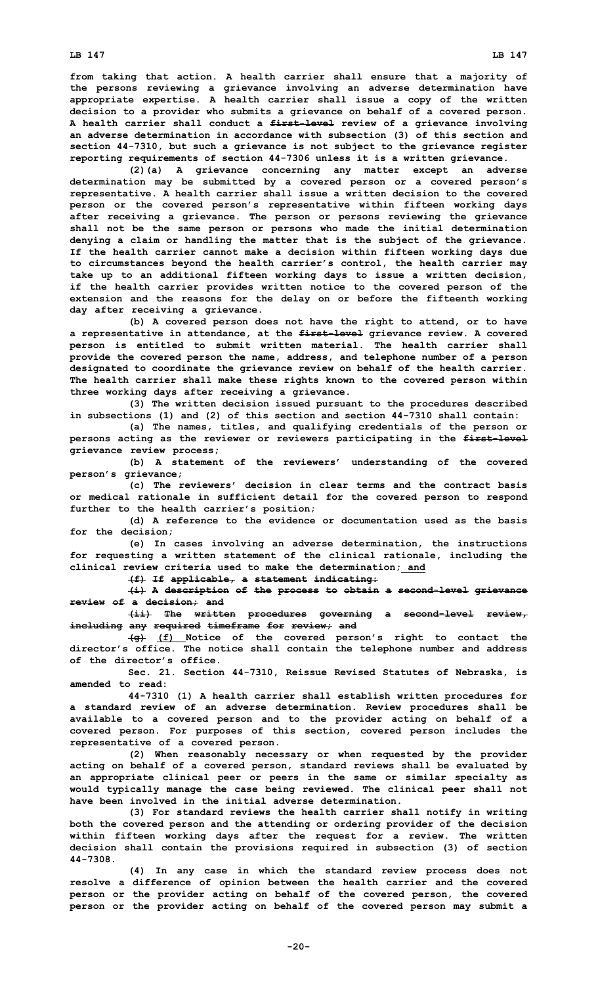**LB 147 LB 147**

**from taking that action. A health carrier shall ensure that <sup>a</sup> majority of the persons reviewing <sup>a</sup> grievance involving an adverse determination have appropriate expertise. A health carrier shall issue <sup>a</sup> copy of the written decision to <sup>a</sup> provider who submits <sup>a</sup> grievance on behalf of <sup>a</sup> covered person. A health carrier shall conduct <sup>a</sup> first-level review of <sup>a</sup> grievance involving an adverse determination in accordance with subsection (3) of this section and section 44-7310, but such <sup>a</sup> grievance is not subject to the grievance register reporting requirements of section 44-7306 unless it is <sup>a</sup> written grievance.**

**(2)(a) <sup>A</sup> grievance concerning any matter except an adverse determination may be submitted by <sup>a</sup> covered person or <sup>a</sup> covered person's representative. A health carrier shall issue <sup>a</sup> written decision to the covered person or the covered person's representative within fifteen working days after receiving <sup>a</sup> grievance. The person or persons reviewing the grievance shall not be the same person or persons who made the initial determination denying <sup>a</sup> claim or handling the matter that is the subject of the grievance. If the health carrier cannot make <sup>a</sup> decision within fifteen working days due to circumstances beyond the health carrier's control, the health carrier may take up to an additional fifteen working days to issue <sup>a</sup> written decision, if the health carrier provides written notice to the covered person of the extension and the reasons for the delay on or before the fifteenth working day after receiving <sup>a</sup> grievance.**

**(b) <sup>A</sup> covered person does not have the right to attend, or to have <sup>a</sup> representative in attendance, at the first-level grievance review. A covered person is entitled to submit written material. The health carrier shall provide the covered person the name, address, and telephone number of <sup>a</sup> person designated to coordinate the grievance review on behalf of the health carrier. The health carrier shall make these rights known to the covered person within three working days after receiving <sup>a</sup> grievance.**

**(3) The written decision issued pursuant to the procedures described in subsections (1) and (2) of this section and section 44-7310 shall contain:**

**(a) The names, titles, and qualifying credentials of the person or persons acting as the reviewer or reviewers participating in the first-level grievance review process;**

**(b) <sup>A</sup> statement of the reviewers' understanding of the covered person's grievance;**

**(c) The reviewers' decision in clear terms and the contract basis or medical rationale in sufficient detail for the covered person to respond further to the health carrier's position;**

**(d) A reference to the evidence or documentation used as the basis for the decision;**

**(e) In cases involving an adverse determination, the instructions for requesting <sup>a</sup> written statement of the clinical rationale, including the clinical review criteria used to make the determination; and**

**(f) If applicable, <sup>a</sup> statement indicating:**

**(i) <sup>A</sup> description of the process to obtain <sup>a</sup> second-level grievance review of <sup>a</sup> decision; and**

**(ii) The written procedures governing <sup>a</sup> second-level review, including any required timeframe for review; and**

**(g) (f) Notice of the covered person's right to contact the director's office. The notice shall contain the telephone number and address of the director's office.**

**Sec. 21. Section 44-7310, Reissue Revised Statutes of Nebraska, is amended to read:**

**44-7310 (1) <sup>A</sup> health carrier shall establish written procedures for <sup>a</sup> standard review of an adverse determination. Review procedures shall be available to <sup>a</sup> covered person and to the provider acting on behalf of <sup>a</sup> covered person. For purposes of this section, covered person includes the representative of <sup>a</sup> covered person.**

**(2) When reasonably necessary or when requested by the provider acting on behalf of <sup>a</sup> covered person, standard reviews shall be evaluated by an appropriate clinical peer or peers in the same or similar specialty as would typically manage the case being reviewed. The clinical peer shall not have been involved in the initial adverse determination.**

**(3) For standard reviews the health carrier shall notify in writing both the covered person and the attending or ordering provider of the decision within fifteen working days after the request for <sup>a</sup> review. The written decision shall contain the provisions required in subsection (3) of section 44-7308.**

**(4) In any case in which the standard review process does not resolve <sup>a</sup> difference of opinion between the health carrier and the covered person or the provider acting on behalf of the covered person, the covered person or the provider acting on behalf of the covered person may submit <sup>a</sup>**